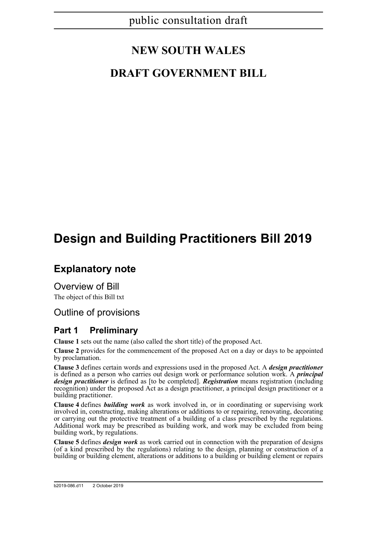# **NEW SOUTH WALES**

# **DRAFT GOVERNMENT BILL**

# **Design and Building Practitioners Bill 2019**

# **Explanatory note**

Overview of Bill The object of this Bill txt

### Outline of provisions

### **Part 1 Preliminary**

**Clause 1** sets out the name (also called the short title) of the proposed Act.

**Clause 2** provides for the commencement of the proposed Act on a day or days to be appointed by proclamation.

**Clause 3** defines certain words and expressions used in the proposed Act. A *design practitioner* is defined as a person who carries out design work or performance solution work. A *principal design practitioner* is defined as [to be completed]. *Registration* means registration (including recognition) under the proposed Act as a design practitioner, a principal design practitioner or a building practitioner.

**Clause 4** defines *building work* as work involved in, or in coordinating or supervising work involved in, constructing, making alterations or additions to or repairing, renovating, decorating or carrying out the protective treatment of a building of a class prescribed by the regulations. Additional work may be prescribed as building work, and work may be excluded from being building work, by regulations.

**Clause 5** defines *design work* as work carried out in connection with the preparation of designs (of a kind prescribed by the regulations) relating to the design, planning or construction of a building or building element, alterations or additions to a building or building element or repairs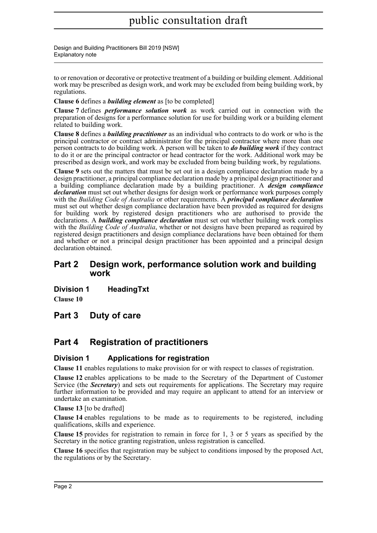Design and Building Practitioners Bill 2019 [NSW] Explanatory note

to or renovation or decorative or protective treatment of a building or building element. Additional work may be prescribed as design work, and work may be excluded from being building work, by regulations.

**Clause 6** defines a *building element* as [to be completed]

**Clause 7** defines *performance solution work* as work carried out in connection with the preparation of designs for a performance solution for use for building work or a building element related to building work.

**Clause 8** defines a *building practitioner* as an individual who contracts to do work or who is the principal contractor or contract administrator for the principal contractor where more than one person contracts to do building work. A person will be taken to *do building work* if they contract to do it or are the principal contractor or head contractor for the work. Additional work may be prescribed as design work, and work may be excluded from being building work, by regulations.

**Clause 9** sets out the matters that must be set out in a design compliance declaration made by a design practitioner, a principal compliance declaration made by a principal design practitioner and a building compliance declaration made by a building practitioner. A *design compliance declaration* must set out whether designs for design work or performance work purposes comply with the *Building Code of Australia* or other requirements. A *principal compliance declaration* must set out whether design compliance declaration have been provided as required for designs for building work by registered design practitioners who are authorised to provide the declarations. A *building compliance declaration* must set out whether building work complies with the *Building Code of Australia*, whether or not designs have been prepared as required by registered design practitioners and design compliance declarations have been obtained for them and whether or not a principal design practitioner has been appointed and a principal design declaration obtained.

### **Part 2 Design work, performance solution work and building work**

**Division 1 HeadingTxt**

**Clause 10** 

**Part 3 Duty of care**

### **Part 4 Registration of practitioners**

### **Division 1 Applications for registration**

**Clause 11** enables regulations to make provision for or with respect to classes of registration.

**Clause 12** enables applications to be made to the Secretary of the Department of Customer Service (the *Secretary*) and sets out requirements for applications. The Secretary may require further information to be provided and may require an applicant to attend for an interview or undertake an examination.

**Clause 13** [to be drafted]

**Clause 14** enables regulations to be made as to requirements to be registered, including qualifications, skills and experience.

**Clause 15** provides for registration to remain in force for 1, 3 or 5 years as specified by the Secretary in the notice granting registration, unless registration is cancelled.

**Clause 16** specifies that registration may be subject to conditions imposed by the proposed Act, the regulations or by the Secretary.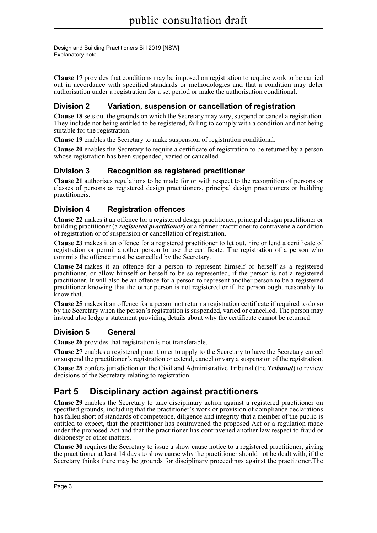Design and Building Practitioners Bill 2019 [NSW] Explanatory note

**Clause 17** provides that conditions may be imposed on registration to require work to be carried out in accordance with specified standards or methodologies and that a condition may defer authorisation under a registration for a set period or make the authorisation conditional.

### **Division 2 Variation, suspension or cancellation of registration**

**Clause 18** sets out the grounds on which the Secretary may vary, suspend or cancel a registration. They include not being entitled to be registered, failing to comply with a condition and not being suitable for the registration.

**Clause 19** enables the Secretary to make suspension of registration conditional.

**Clause 20** enables the Secretary to require a certificate of registration to be returned by a person whose registration has been suspended, varied or cancelled.

### **Division 3 Recognition as registered practitioner**

**Clause 21** authorises regulations to be made for or with respect to the recognition of persons or classes of persons as registered design practitioners, principal design practitioners or building practitioners.

### **Division 4 Registration offences**

**Clause 22** makes it an offence for a registered design practitioner, principal design practitioner or building practitioner (a *registered practitioner*) or a former practitioner to contravene a condition of registration or of suspension or cancellation of registration.

**Clause 23** makes it an offence for a registered practitioner to let out, hire or lend a certificate of registration or permit another person to use the certificate. The registration of a person who commits the offence must be cancelled by the Secretary.

**Clause 24** makes it an offence for a person to represent himself or herself as a registered practitioner, or allow himself or herself to be so represented, if the person is not a registered practitioner. It will also be an offence for a person to represent another person to be a registered practitioner knowing that the other person is not registered or if the person ought reasonably to know that.

**Clause 25** makes it an offence for a person not return a registration certificate if required to do so by the Secretary when the person's registration is suspended, varied or cancelled. The person may instead also lodge a statement providing details about why the certificate cannot be returned.

### **Division 5 General**

**Clause 26** provides that registration is not transferable.

**Clause 27** enables a registered practitioner to apply to the Secretary to have the Secretary cancel or suspend the practitioner's registration or extend, cancel or vary a suspension of the registration.

**Clause 28** confers jurisdiction on the Civil and Administrative Tribunal (the *Tribunal*) to review decisions of the Secretary relating to registration.

### **Part 5 Disciplinary action against practitioners**

**Clause 29** enables the Secretary to take disciplinary action against a registered practitioner on specified grounds, including that the practitioner's work or provision of compliance declarations has fallen short of standards of competence, diligence and integrity that a member of the public is entitled to expect, that the practitioner has contravened the proposed Act or a regulation made under the proposed Act and that the practitioner has contravened another law respect to fraud or dishonesty or other matters.

**Clause 30** requires the Secretary to issue a show cause notice to a registered practitioner, giving the practitioner at least 14 days to show cause why the practitioner should not be dealt with, if the Secretary thinks there may be grounds for disciplinary proceedings against the practitioner.The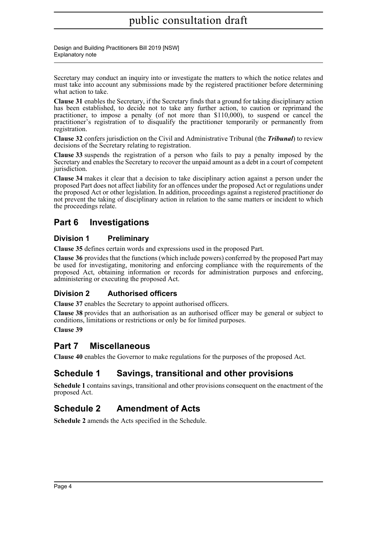Design and Building Practitioners Bill 2019 [NSW] Explanatory note

Secretary may conduct an inquiry into or investigate the matters to which the notice relates and must take into account any submissions made by the registered practitioner before determining what action to take.

**Clause 31** enables the Secretary, if the Secretary finds that a ground for taking disciplinary action has been established, to decide not to take any further action, to caution or reprimand the practitioner, to impose a penalty (of not more than \$110,000), to suspend or cancel the practitioner's registration of to disqualify the practitioner temporarily or permanently from registration.

**Clause 32** confers jurisdiction on the Civil and Administrative Tribunal (the *Tribunal*) to review decisions of the Secretary relating to registration.

**Clause 33** suspends the registration of a person who fails to pay a penalty imposed by the Secretary and enables the Secretary to recover the unpaid amount as a debt in a court of competent jurisdiction.

**Clause 34** makes it clear that a decision to take disciplinary action against a person under the proposed Part does not affect liability for an offences under the proposed Act or regulations under the proposed Act or other legislation. In addition, proceedings against a registered practitioner do not prevent the taking of disciplinary action in relation to the same matters or incident to which the proceedings relate.

### **Part 6 Investigations**

### **Division 1 Preliminary**

**Clause 35** defines certain words and expressions used in the proposed Part.

**Clause 36** provides that the functions (which include powers) conferred by the proposed Part may be used for investigating, monitoring and enforcing compliance with the requirements of the proposed Act, obtaining information or records for administration purposes and enforcing, administering or executing the proposed Act.

### **Division 2 Authorised officers**

**Clause 37** enables the Secretary to appoint authorised officers.

**Clause 38** provides that an authorisation as an authorised officer may be general or subject to conditions, limitations or restrictions or only be for limited purposes.

**Clause 39** 

### **Part 7 Miscellaneous**

**Clause 40** enables the Governor to make regulations for the purposes of the proposed Act.

### **Schedule 1 Savings, transitional and other provisions**

**Schedule 1** contains savings, transitional and other provisions consequent on the enactment of the proposed Act.

### **Schedule 2 Amendment of Acts**

**Schedule 2** amends the Acts specified in the Schedule.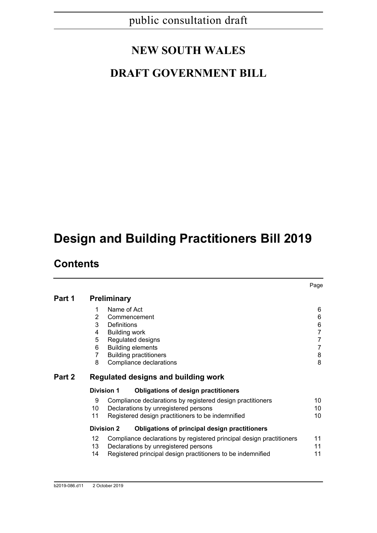# **NEW SOUTH WALES**

# **DRAFT GOVERNMENT BILL**

# **Design and Building Practitioners Bill 2019**

### **Contents**

|        |                                     |                                                                      | Page           |  |  |
|--------|-------------------------------------|----------------------------------------------------------------------|----------------|--|--|
| Part 1 |                                     | <b>Preliminary</b>                                                   |                |  |  |
|        | 1                                   | Name of Act                                                          | 6              |  |  |
|        | 2                                   | Commencement                                                         | 6              |  |  |
|        | 3                                   | Definitions                                                          | 6              |  |  |
|        | 4                                   | <b>Building work</b>                                                 | $\overline{7}$ |  |  |
|        | 5                                   | Regulated designs                                                    | $\overline{7}$ |  |  |
|        | 6                                   | <b>Building elements</b>                                             | $\overline{7}$ |  |  |
|        | 7                                   | <b>Building practitioners</b>                                        | 8              |  |  |
|        | 8                                   | Compliance declarations                                              | 8              |  |  |
| Part 2 | Regulated designs and building work |                                                                      |                |  |  |
|        | <b>Division 1</b>                   | <b>Obligations of design practitioners</b>                           |                |  |  |
|        | 9                                   | Compliance declarations by registered design practitioners           | 10             |  |  |
|        | 10                                  | Declarations by unregistered persons                                 | 10             |  |  |
|        | 11                                  | Registered design practitioners to be indemnified                    | 10             |  |  |
|        | <b>Division 2</b>                   | Obligations of principal design practitioners                        |                |  |  |
|        | 12                                  | Compliance declarations by registered principal design practitioners | 11             |  |  |
|        | 13                                  | Declarations by unregistered persons                                 | 11             |  |  |
|        | 14                                  | Registered principal design practitioners to be indemnified          | 11             |  |  |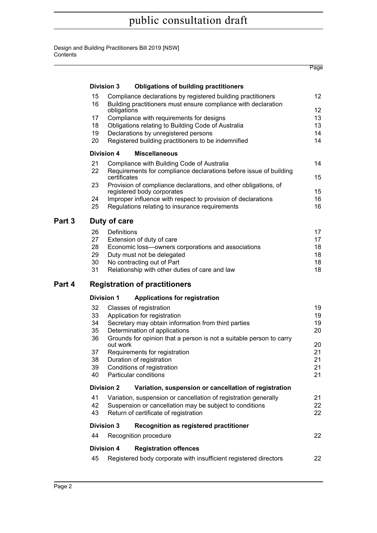#### Design and Building Practitioners Bill 2019 [NSW] **Contents**

|        |                                                                                                                                            |                                                                                                                           |                                                                                               | Page            |  |  |
|--------|--------------------------------------------------------------------------------------------------------------------------------------------|---------------------------------------------------------------------------------------------------------------------------|-----------------------------------------------------------------------------------------------|-----------------|--|--|
|        |                                                                                                                                            | <b>Division 3</b>                                                                                                         | <b>Obligations of building practitioners</b>                                                  |                 |  |  |
|        | 15<br>Compliance declarations by registered building practitioners<br>16<br>Building practitioners must ensure compliance with declaration |                                                                                                                           |                                                                                               | 12 <sup>2</sup> |  |  |
|        |                                                                                                                                            | obligations<br>17<br>Compliance with requirements for designs<br>Obligations relating to Building Code of Australia<br>18 |                                                                                               | 12 <sup>°</sup> |  |  |
|        |                                                                                                                                            |                                                                                                                           |                                                                                               | 13              |  |  |
|        |                                                                                                                                            |                                                                                                                           |                                                                                               | 13              |  |  |
|        | 19<br>20                                                                                                                                   |                                                                                                                           | Declarations by unregistered persons<br>Registered building practitioners to be indemnified   | 14<br>14        |  |  |
|        |                                                                                                                                            | <b>Division 4</b>                                                                                                         | <b>Miscellaneous</b>                                                                          |                 |  |  |
|        | 21                                                                                                                                         |                                                                                                                           | Compliance with Building Code of Australia                                                    | 14              |  |  |
|        | 22                                                                                                                                         | certificates                                                                                                              | Requirements for compliance declarations before issue of building                             | 15              |  |  |
|        | 23                                                                                                                                         |                                                                                                                           | Provision of compliance declarations, and other obligations, of<br>registered body corporates | 15              |  |  |
|        | 24                                                                                                                                         |                                                                                                                           | Improper influence with respect to provision of declarations                                  | 16              |  |  |
|        | 25                                                                                                                                         |                                                                                                                           | Regulations relating to insurance requirements                                                | 16              |  |  |
| Part 3 | Duty of care                                                                                                                               |                                                                                                                           |                                                                                               |                 |  |  |
|        | 26                                                                                                                                         | Definitions                                                                                                               |                                                                                               | 17              |  |  |
|        | 27                                                                                                                                         |                                                                                                                           | Extension of duty of care                                                                     | 17              |  |  |
|        | 28<br>29                                                                                                                                   |                                                                                                                           | Economic loss-owners corporations and associations                                            | 18              |  |  |
|        | 30                                                                                                                                         |                                                                                                                           | Duty must not be delegated<br>No contracting out of Part                                      | 18<br>18        |  |  |
|        | 31                                                                                                                                         |                                                                                                                           | Relationship with other duties of care and law                                                | 18              |  |  |
| Part 4 | <b>Registration of practitioners</b>                                                                                                       |                                                                                                                           |                                                                                               |                 |  |  |
|        |                                                                                                                                            | <b>Division 1</b>                                                                                                         | <b>Applications for registration</b>                                                          |                 |  |  |
|        | 32                                                                                                                                         |                                                                                                                           | Classes of registration                                                                       | 19              |  |  |
|        | 33                                                                                                                                         |                                                                                                                           | Application for registration                                                                  | 19              |  |  |
|        | 34                                                                                                                                         |                                                                                                                           | Secretary may obtain information from third parties<br>Determination of applications          | 19<br>20        |  |  |
|        | 35<br>36                                                                                                                                   |                                                                                                                           | Grounds for opinion that a person is not a suitable person to carry                           |                 |  |  |
|        |                                                                                                                                            | out work                                                                                                                  |                                                                                               | 20              |  |  |
|        | 37                                                                                                                                         | Requirements for registration                                                                                             |                                                                                               |                 |  |  |
|        | Duration of registration<br>38                                                                                                             |                                                                                                                           |                                                                                               | 21              |  |  |
|        | 39<br>40                                                                                                                                   |                                                                                                                           | Conditions of registration<br>Particular conditions                                           | 21<br>21        |  |  |
|        |                                                                                                                                            | <b>Division 2</b>                                                                                                         | Variation, suspension or cancellation of registration                                         |                 |  |  |
|        | 41                                                                                                                                         |                                                                                                                           | Variation, suspension or cancellation of registration generally                               | 21              |  |  |
|        | 42                                                                                                                                         |                                                                                                                           | Suspension or cancellation may be subject to conditions                                       | 22              |  |  |
|        | 43<br>Return of certificate of registration                                                                                                |                                                                                                                           |                                                                                               |                 |  |  |
|        | <b>Division 3</b><br>Recognition as registered practitioner                                                                                |                                                                                                                           |                                                                                               |                 |  |  |
|        | 44                                                                                                                                         |                                                                                                                           | Recognition procedure                                                                         | 22              |  |  |
|        |                                                                                                                                            | <b>Division 4</b>                                                                                                         | <b>Registration offences</b>                                                                  |                 |  |  |
|        | 45                                                                                                                                         |                                                                                                                           | Registered body corporate with insufficient registered directors                              | 22              |  |  |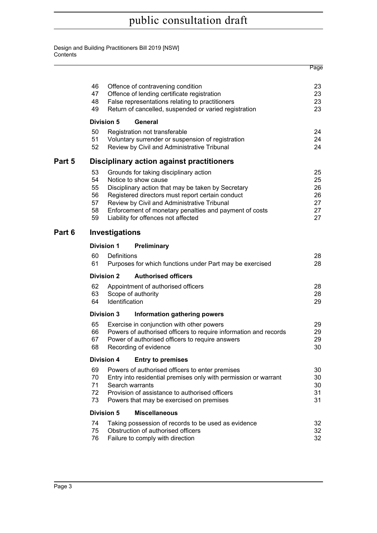Design and Building Practitioners Bill 2019 [NSW] **Contents** 

|        |                                                  |                       |                                                                  | Page     |  |  |
|--------|--------------------------------------------------|-----------------------|------------------------------------------------------------------|----------|--|--|
|        |                                                  |                       |                                                                  |          |  |  |
|        | 46                                               |                       | Offence of contravening condition                                | 23       |  |  |
|        | 47                                               |                       | Offence of lending certificate registration                      | 23       |  |  |
|        | 48                                               |                       | False representations relating to practitioners                  | 23       |  |  |
|        | 49                                               |                       | Return of cancelled, suspended or varied registration            | 23       |  |  |
|        |                                                  | <b>Division 5</b>     | General                                                          |          |  |  |
|        | 50                                               |                       | Registration not transferable                                    | 24       |  |  |
|        | 51                                               |                       | Voluntary surrender or suspension of registration                | 24       |  |  |
|        | 52                                               |                       | Review by Civil and Administrative Tribunal                      | 24       |  |  |
| Part 5 | <b>Disciplinary action against practitioners</b> |                       |                                                                  |          |  |  |
|        | 53                                               |                       | Grounds for taking disciplinary action                           | 25       |  |  |
|        | 54                                               | Notice to show cause  |                                                                  | 25       |  |  |
|        | 55                                               |                       | Disciplinary action that may be taken by Secretary               | 26       |  |  |
|        | 56                                               |                       | Registered directors must report certain conduct                 | 26       |  |  |
|        | 57                                               |                       | Review by Civil and Administrative Tribunal                      | 27       |  |  |
|        | 58<br>59                                         |                       | Enforcement of monetary penalties and payment of costs           | 27<br>27 |  |  |
|        |                                                  |                       | Liability for offences not affected                              |          |  |  |
| Part 6 | Investigations                                   |                       |                                                                  |          |  |  |
|        |                                                  | <b>Division 1</b>     | <b>Preliminary</b>                                               |          |  |  |
|        | 60                                               | Definitions           |                                                                  | 28       |  |  |
|        | 61                                               |                       | Purposes for which functions under Part may be exercised         | 28       |  |  |
|        |                                                  | <b>Division 2</b>     | <b>Authorised officers</b>                                       |          |  |  |
|        | 62                                               |                       | Appointment of authorised officers                               | 28       |  |  |
|        | 63                                               | Scope of authority    |                                                                  | 28       |  |  |
|        | 64                                               | Identification        |                                                                  | 29       |  |  |
|        |                                                  | <b>Division 3</b>     | Information gathering powers                                     |          |  |  |
|        | 65                                               |                       | Exercise in conjunction with other powers                        | 29       |  |  |
|        | 66                                               |                       | Powers of authorised officers to require information and records | 29       |  |  |
|        | 67                                               |                       | Power of authorised officers to require answers                  | 29       |  |  |
|        | 68                                               | Recording of evidence |                                                                  | 30       |  |  |
|        |                                                  | <b>Division 4</b>     | <b>Entry to premises</b>                                         |          |  |  |
|        | 69                                               |                       | Powers of authorised officers to enter premises                  | 30       |  |  |
|        | 70                                               |                       | Entry into residential premises only with permission or warrant  | 30       |  |  |
|        | 71                                               | Search warrants       |                                                                  | 30       |  |  |
|        | 72                                               |                       | Provision of assistance to authorised officers                   | 31       |  |  |
|        | 73                                               |                       | Powers that may be exercised on premises                         | 31       |  |  |
|        |                                                  | <b>Division 5</b>     | <b>Miscellaneous</b>                                             |          |  |  |
|        | 74                                               |                       | Taking possession of records to be used as evidence              | 32       |  |  |
|        | 75                                               |                       | Obstruction of authorised officers                               | 32       |  |  |
|        | 76                                               |                       | Failure to comply with direction                                 | 32       |  |  |
|        |                                                  |                       |                                                                  |          |  |  |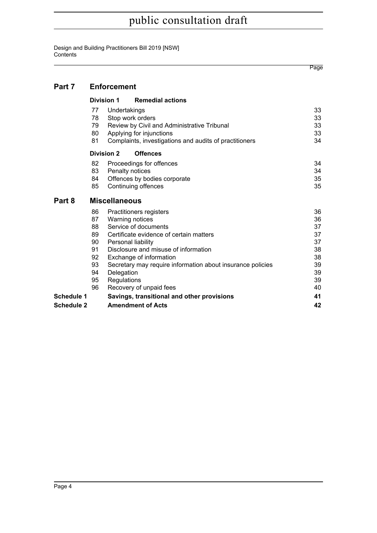Design and Building Practitioners Bill 2019 [NSW] **Contents** 

|        |                                                                |                           |                                                                                                                                                                                                                                                                                                 | Page                                                           |  |  |  |
|--------|----------------------------------------------------------------|---------------------------|-------------------------------------------------------------------------------------------------------------------------------------------------------------------------------------------------------------------------------------------------------------------------------------------------|----------------------------------------------------------------|--|--|--|
| Part 7 |                                                                | <b>Enforcement</b>        |                                                                                                                                                                                                                                                                                                 |                                                                |  |  |  |
|        |                                                                | Division 1                | <b>Remedial actions</b>                                                                                                                                                                                                                                                                         |                                                                |  |  |  |
|        | 77<br>78<br>79<br>80<br>81                                     | Undertakings              | Stop work orders<br>Review by Civil and Administrative Tribunal<br>Applying for injunctions<br>Complaints, investigations and audits of practitioners                                                                                                                                           | 33<br>33<br>33<br>33<br>34                                     |  |  |  |
|        | <b>Offences</b><br><b>Division 2</b>                           |                           |                                                                                                                                                                                                                                                                                                 |                                                                |  |  |  |
|        | 82<br>83<br>84<br>85                                           |                           | Proceedings for offences<br>Penalty notices<br>Offences by bodies corporate<br>Continuing offences                                                                                                                                                                                              | 34<br>34<br>35<br>35                                           |  |  |  |
| Part 8 | <b>Miscellaneous</b>                                           |                           |                                                                                                                                                                                                                                                                                                 |                                                                |  |  |  |
|        | 86<br>87<br>88<br>89<br>90<br>91<br>92<br>93<br>94<br>95<br>96 | Delegation<br>Regulations | Practitioners registers<br>Warning notices<br>Service of documents<br>Certificate evidence of certain matters<br>Personal liability<br>Disclosure and misuse of information<br>Exchange of information<br>Secretary may require information about insurance policies<br>Recovery of unpaid fees | 36<br>36<br>37<br>37<br>37<br>38<br>38<br>39<br>39<br>39<br>40 |  |  |  |

|            | Recovery of unpaid fees                    |  |
|------------|--------------------------------------------|--|
| Schedule 1 | Savings, transitional and other provisions |  |
| Schedule 2 | <b>Amendment of Acts</b>                   |  |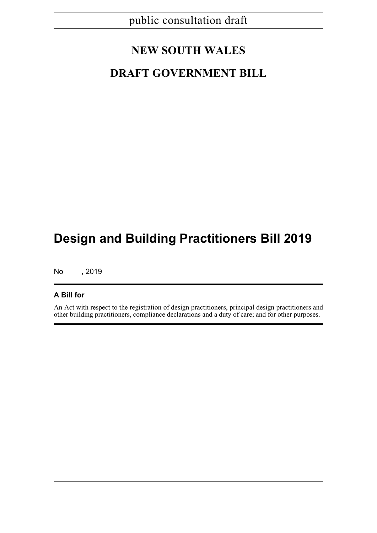# **NEW SOUTH WALES**

# **DRAFT GOVERNMENT BILL**

# **Design and Building Practitioners Bill 2019**

No , 2019

### **A Bill for**

An Act with respect to the registration of design practitioners, principal design practitioners and other building practitioners, compliance declarations and a duty of care; and for other purposes.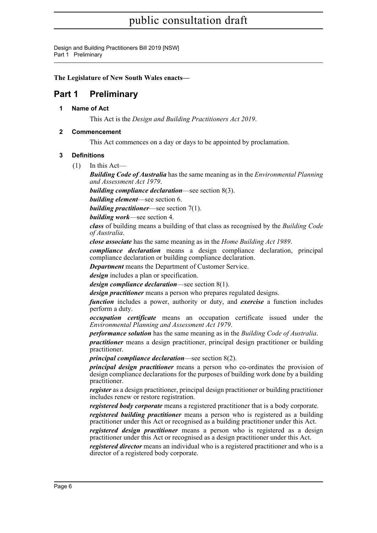Design and Building Practitioners Bill 2019 [NSW] Part 1 Preliminary

**The Legislature of New South Wales enacts—**

### <span id="page-9-1"></span><span id="page-9-0"></span>**Part 1 Preliminary**

**1 Name of Act**

This Act is the *Design and Building Practitioners Act 2019*.

### <span id="page-9-2"></span>**2 Commencement**

This Act commences on a day or days to be appointed by proclamation.

### <span id="page-9-3"></span>**3 Definitions**

 $(1)$  In this Act—

*Building Code of Australia* has the same meaning as in the *Environmental Planning and Assessment Act 1979*.

*building compliance declaration*—see section 8(3).

*building element*—see section 6.

*building practitioner*—see section 7(1).

*building work*—see section 4.

*class* of building means a building of that class as recognised by the *Building Code of Australia*.

*close associate* has the same meaning as in the *Home Building Act 1989*.

*compliance declaration* means a design compliance declaration, principal compliance declaration or building compliance declaration.

*Department* means the Department of Customer Service.

*design* includes a plan or specification.

*design compliance declaration*—see section 8(1).

*design practitioner* means a person who prepares regulated designs.

*function* includes a power, authority or duty, and *exercise* a function includes perform a duty.

*occupation certificate* means an occupation certificate issued under the *Environmental Planning and Assessment Act 1979*.

*performance solution* has the same meaning as in the *Building Code of Australia*.

*practitioner* means a design practitioner, principal design practitioner or building practitioner.

*principal compliance declaration*—see section 8(2).

*principal design practitioner* means a person who co-ordinates the provision of design compliance declarations for the purposes of building work done by a building practitioner.

*register* as a design practitioner, principal design practitioner or building practitioner includes renew or restore registration.

*registered body corporate* means a registered practitioner that is a body corporate.

*registered building practitioner* means a person who is registered as a building practitioner under this Act or recognised as a building practitioner under this Act.

*registered design practitioner* means a person who is registered as a design practitioner under this Act or recognised as a design practitioner under this Act.

*registered director* means an individual who is a registered practitioner and who is a director of a registered body corporate.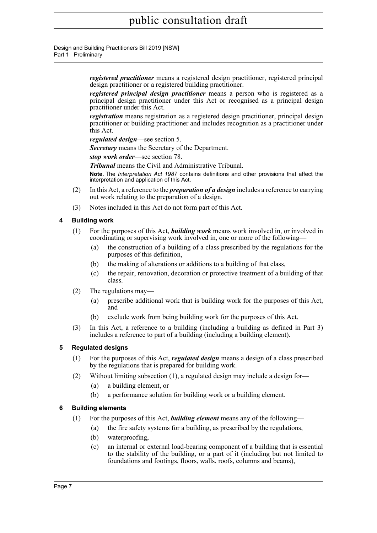Design and Building Practitioners Bill 2019 [NSW] Part 1 Preliminary

> *registered practitioner* means a registered design practitioner, registered principal design practitioner or a registered building practitioner.

> *registered principal design practitioner* means a person who is registered as a principal design practitioner under this Act or recognised as a principal design practitioner under this Act.

> *registration* means registration as a registered design practitioner, principal design practitioner or building practitioner and includes recognition as a practitioner under this Act.

*regulated design*—see section 5.

*Secretary* means the Secretary of the Department.

*stop work order*—see section 78.

*Tribunal* means the Civil and Administrative Tribunal.

**Note.** The *Interpretation Act 1987* contains definitions and other provisions that affect the interpretation and application of this Act.

- (2) In this Act, a reference to the *preparation of a design* includes a reference to carrying out work relating to the preparation of a design.
- (3) Notes included in this Act do not form part of this Act.

### <span id="page-10-0"></span>**4 Building work**

- (1) For the purposes of this Act, *building work* means work involved in, or involved in coordinating or supervising work involved in, one or more of the following—
	- (a) the construction of a building of a class prescribed by the regulations for the purposes of this definition,
	- (b) the making of alterations or additions to a building of that class,
	- (c) the repair, renovation, decoration or protective treatment of a building of that class.
- (2) The regulations may—
	- (a) prescribe additional work that is building work for the purposes of this Act, and
	- (b) exclude work from being building work for the purposes of this Act.
- (3) In this Act, a reference to a building (including a building as defined in Part 3) includes a reference to part of a building (including a building element).

### <span id="page-10-1"></span>**5 Regulated designs**

- (1) For the purposes of this Act, *regulated design* means a design of a class prescribed by the regulations that is prepared for building work.
- (2) Without limiting subsection (1), a regulated design may include a design for—
	- (a) a building element, or
	- (b) a performance solution for building work or a building element.

### <span id="page-10-2"></span>**6 Building elements**

- (1) For the purposes of this Act, *building element* means any of the following—
	- (a) the fire safety systems for a building, as prescribed by the regulations,
	- (b) waterproofing,
	- (c) an internal or external load-bearing component of a building that is essential to the stability of the building, or a part of it (including but not limited to foundations and footings, floors, walls, roofs, columns and beams),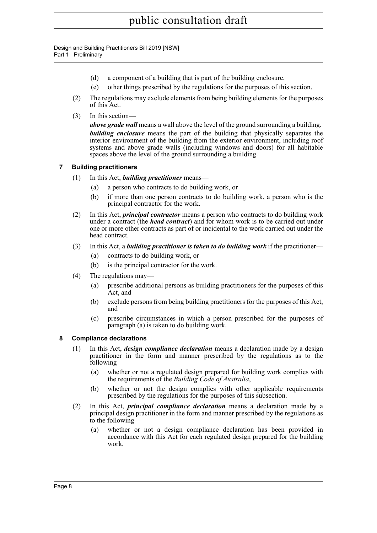Design and Building Practitioners Bill 2019 [NSW] Part 1 Preliminary

- (d) a component of a building that is part of the building enclosure,
- (e) other things prescribed by the regulations for the purposes of this section.
- (2) The regulations may exclude elements from being building elements for the purposes of this Act.
- (3) In this section—

*above grade wall* means a wall above the level of the ground surrounding a building. *building enclosure* means the part of the building that physically separates the interior environment of the building from the exterior environment, including roof systems and above grade walls (including windows and doors) for all habitable spaces above the level of the ground surrounding a building.

### <span id="page-11-0"></span>**7 Building practitioners**

- (1) In this Act, *building practitioner* means—
	- (a) a person who contracts to do building work, or
	- (b) if more than one person contracts to do building work, a person who is the principal contractor for the work.
- (2) In this Act, *principal contractor* means a person who contracts to do building work under a contract (the *head contract*) and for whom work is to be carried out under one or more other contracts as part of or incidental to the work carried out under the head contract.
- (3) In this Act, a *building practitioner is taken to do building work* if the practitioner—
	- (a) contracts to do building work, or
	- (b) is the principal contractor for the work.
- (4) The regulations may—
	- (a) prescribe additional persons as building practitioners for the purposes of this Act, and
	- (b) exclude persons from being building practitioners for the purposes of this Act, and
	- (c) prescribe circumstances in which a person prescribed for the purposes of paragraph (a) is taken to do building work.

### <span id="page-11-1"></span>**8 Compliance declarations**

- (1) In this Act, *design compliance declaration* means a declaration made by a design practitioner in the form and manner prescribed by the regulations as to the following—
	- (a) whether or not a regulated design prepared for building work complies with the requirements of the *Building Code of Australia*,
	- (b) whether or not the design complies with other applicable requirements prescribed by the regulations for the purposes of this subsection.
- (2) In this Act, *principal compliance declaration* means a declaration made by a principal design practitioner in the form and manner prescribed by the regulations as to the following—
	- (a) whether or not a design compliance declaration has been provided in accordance with this Act for each regulated design prepared for the building work,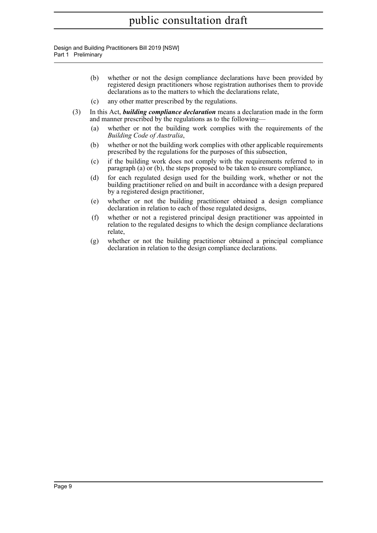Design and Building Practitioners Bill 2019 [NSW] Part 1 Preliminary

- (b) whether or not the design compliance declarations have been provided by registered design practitioners whose registration authorises them to provide declarations as to the matters to which the declarations relate,
- (c) any other matter prescribed by the regulations.
- (3) In this Act, *building compliance declaration* means a declaration made in the form and manner prescribed by the regulations as to the following—
	- (a) whether or not the building work complies with the requirements of the *Building Code of Australia*,
	- (b) whether or not the building work complies with other applicable requirements prescribed by the regulations for the purposes of this subsection,
	- (c) if the building work does not comply with the requirements referred to in paragraph (a) or (b), the steps proposed to be taken to ensure compliance,
	- (d) for each regulated design used for the building work, whether or not the building practitioner relied on and built in accordance with a design prepared by a registered design practitioner,
	- (e) whether or not the building practitioner obtained a design compliance declaration in relation to each of those regulated designs,
	- (f) whether or not a registered principal design practitioner was appointed in relation to the regulated designs to which the design compliance declarations relate,
	- (g) whether or not the building practitioner obtained a principal compliance declaration in relation to the design compliance declarations.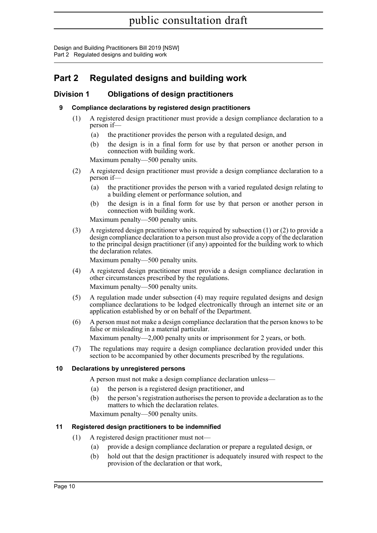### <span id="page-13-0"></span>**Part 2 Regulated designs and building work**

### <span id="page-13-2"></span><span id="page-13-1"></span>**Division 1 Obligations of design practitioners**

### **9 Compliance declarations by registered design practitioners**

- (1) A registered design practitioner must provide a design compliance declaration to a person if—
	- (a) the practitioner provides the person with a regulated design, and
	- (b) the design is in a final form for use by that person or another person in connection with building work.

Maximum penalty—500 penalty units.

- (2) A registered design practitioner must provide a design compliance declaration to a person if—
	- (a) the practitioner provides the person with a varied regulated design relating to a building element or performance solution, and
	- (b) the design is in a final form for use by that person or another person in connection with building work.

Maximum penalty—500 penalty units.

(3) A registered design practitioner who is required by subsection (1) or (2) to provide a design compliance declaration to a person must also provide a copy of the declaration to the principal design practitioner (if any) appointed for the building work to which the declaration relates.

Maximum penalty—500 penalty units.

- (4) A registered design practitioner must provide a design compliance declaration in other circumstances prescribed by the regulations. Maximum penalty—500 penalty units.
- (5) A regulation made under subsection (4) may require regulated designs and design compliance declarations to be lodged electronically through an internet site or an application established by or on behalf of the Department.
- (6) A person must not make a design compliance declaration that the person knows to be false or misleading in a material particular.

Maximum penalty—2,000 penalty units or imprisonment for 2 years, or both.

(7) The regulations may require a design compliance declaration provided under this section to be accompanied by other documents prescribed by the regulations.

### <span id="page-13-3"></span>**10 Declarations by unregistered persons**

A person must not make a design compliance declaration unless—

- (a) the person is a registered design practitioner, and
- (b) the person's registration authorises the person to provide a declaration as to the matters to which the declaration relates.

Maximum penalty—500 penalty units.

### <span id="page-13-4"></span>**11 Registered design practitioners to be indemnified**

- (1) A registered design practitioner must not—
	- (a) provide a design compliance declaration or prepare a regulated design, or
	- (b) hold out that the design practitioner is adequately insured with respect to the provision of the declaration or that work,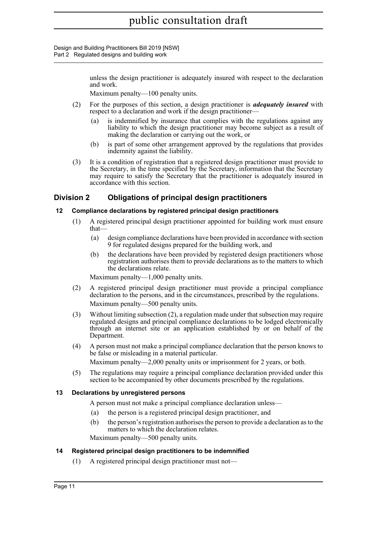> unless the design practitioner is adequately insured with respect to the declaration and work.

Maximum penalty—100 penalty units.

- (2) For the purposes of this section, a design practitioner is *adequately insured* with respect to a declaration and work if the design practitioner—
	- (a) is indemnified by insurance that complies with the regulations against any liability to which the design practitioner may become subject as a result of making the declaration or carrying out the work, or
	- (b) is part of some other arrangement approved by the regulations that provides indemnity against the liability.
- (3) It is a condition of registration that a registered design practitioner must provide to the Secretary, in the time specified by the Secretary, information that the Secretary may require to satisfy the Secretary that the practitioner is adequately insured in accordance with this section.

### <span id="page-14-0"></span>**Division 2 Obligations of principal design practitioners**

### <span id="page-14-1"></span>**12 Compliance declarations by registered principal design practitioners**

- (1) A registered principal design practitioner appointed for building work must ensure that—
	- (a) design compliance declarations have been provided in accordance with section 9 for regulated designs prepared for the building work, and
	- (b) the declarations have been provided by registered design practitioners whose registration authorises them to provide declarations as to the matters to which the declarations relate.

Maximum penalty—1,000 penalty units.

- (2) A registered principal design practitioner must provide a principal compliance declaration to the persons, and in the circumstances, prescribed by the regulations. Maximum penalty—500 penalty units.
- (3) Without limiting subsection (2), a regulation made under that subsection may require regulated designs and principal compliance declarations to be lodged electronically through an internet site or an application established by or on behalf of the Department.
- (4) A person must not make a principal compliance declaration that the person knows to be false or misleading in a material particular.

Maximum penalty—2,000 penalty units or imprisonment for 2 years, or both.

(5) The regulations may require a principal compliance declaration provided under this section to be accompanied by other documents prescribed by the regulations.

### <span id="page-14-2"></span>**13 Declarations by unregistered persons**

A person must not make a principal compliance declaration unless—

- (a) the person is a registered principal design practitioner, and
- (b) the person's registration authorises the person to provide a declaration as to the matters to which the declaration relates.

Maximum penalty—500 penalty units.

### <span id="page-14-3"></span>**14 Registered principal design practitioners to be indemnified**

(1) A registered principal design practitioner must not—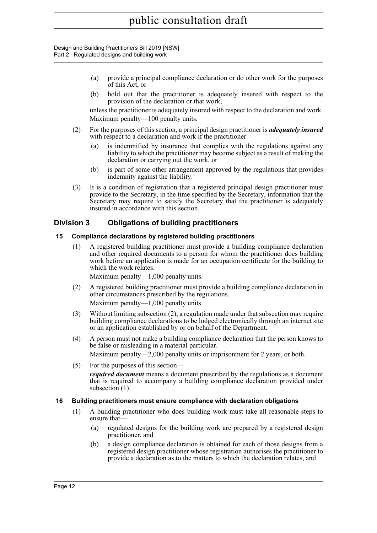- (a) provide a principal compliance declaration or do other work for the purposes of this Act, or
- (b) hold out that the practitioner is adequately insured with respect to the provision of the declaration or that work,

unless the practitioner is adequately insured with respect to the declaration and work. Maximum penalty—100 penalty units.

- (2) For the purposes of this section, a principal design practitioner is *adequately insured* with respect to a declaration and work if the practitioner—
	- (a) is indemnified by insurance that complies with the regulations against any liability to which the practitioner may become subject as a result of making the declaration or carrying out the work, or
	- (b) is part of some other arrangement approved by the regulations that provides indemnity against the liability.
- (3) It is a condition of registration that a registered principal design practitioner must provide to the Secretary, in the time specified by the Secretary, information that the Secretary may require to satisfy the Secretary that the practitioner is adequately insured in accordance with this section.

### <span id="page-15-0"></span>**Division 3 Obligations of building practitioners**

### <span id="page-15-1"></span>**15 Compliance declarations by registered building practitioners**

(1) A registered building practitioner must provide a building compliance declaration and other required documents to a person for whom the practitioner does building work before an application is made for an occupation certificate for the building to which the work relates.

Maximum penalty—1,000 penalty units.

- (2) A registered building practitioner must provide a building compliance declaration in other circumstances prescribed by the regulations. Maximum penalty—1,000 penalty units.
- (3) Without limiting subsection (2), a regulation made under that subsection may require building compliance declarations to be lodged electronically through an internet site or an application established by or on behalf of the Department.
- (4) A person must not make a building compliance declaration that the person knows to be false or misleading in a material particular.

Maximum penalty—2,000 penalty units or imprisonment for 2 years, or both.

(5) For the purposes of this section—

*required document* means a document prescribed by the regulations as a document that is required to accompany a building compliance declaration provided under subsection  $(1)$ .

### <span id="page-15-2"></span>**16 Building practitioners must ensure compliance with declaration obligations**

- (1) A building practitioner who does building work must take all reasonable steps to ensure that—
	- (a) regulated designs for the building work are prepared by a registered design practitioner, and
	- (b) a design compliance declaration is obtained for each of those designs from a registered design practitioner whose registration authorises the practitioner to provide a declaration as to the matters to which the declaration relates, and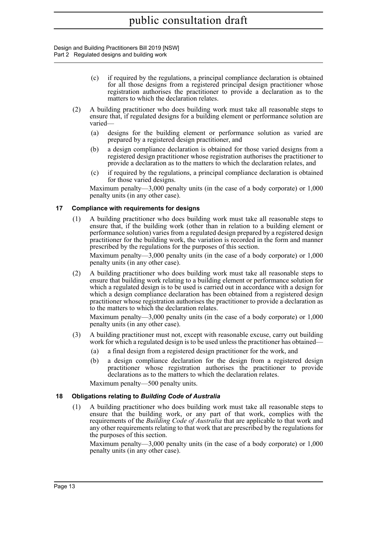- (c) if required by the regulations, a principal compliance declaration is obtained for all those designs from a registered principal design practitioner whose registration authorises the practitioner to provide a declaration as to the matters to which the declaration relates.
- (2) A building practitioner who does building work must take all reasonable steps to ensure that, if regulated designs for a building element or performance solution are varied—
	- (a) designs for the building element or performance solution as varied are prepared by a registered design practitioner, and
	- (b) a design compliance declaration is obtained for those varied designs from a registered design practitioner whose registration authorises the practitioner to provide a declaration as to the matters to which the declaration relates, and
	- (c) if required by the regulations, a principal compliance declaration is obtained for those varied designs.

Maximum penalty—3,000 penalty units (in the case of a body corporate) or 1,000 penalty units (in any other case).

### <span id="page-16-0"></span>**17 Compliance with requirements for designs**

(1) A building practitioner who does building work must take all reasonable steps to ensure that, if the building work (other than in relation to a building element or performance solution) varies from a regulated design prepared by a registered design practitioner for the building work, the variation is recorded in the form and manner prescribed by the regulations for the purposes of this section.

Maximum penalty—3,000 penalty units (in the case of a body corporate) or 1,000 penalty units (in any other case).

(2) A building practitioner who does building work must take all reasonable steps to ensure that building work relating to a building element or performance solution for which a regulated design is to be used is carried out in accordance with a design for which a design compliance declaration has been obtained from a registered design practitioner whose registration authorises the practitioner to provide a declaration as to the matters to which the declaration relates.

Maximum penalty—3,000 penalty units (in the case of a body corporate) or 1,000 penalty units (in any other case).

- (3) A building practitioner must not, except with reasonable excuse, carry out building work for which a regulated design is to be used unless the practitioner has obtained—
	- (a) a final design from a registered design practitioner for the work, and
	- (b) a design compliance declaration for the design from a registered design practitioner whose registration authorises the practitioner to provide declarations as to the matters to which the declaration relates.

Maximum penalty—500 penalty units.

### <span id="page-16-1"></span>**18 Obligations relating to** *Building Code of Australia*

(1) A building practitioner who does building work must take all reasonable steps to ensure that the building work, or any part of that work, complies with the requirements of the *Building Code of Australia* that are applicable to that work and any other requirements relating to that work that are prescribed by the regulations for the purposes of this section.

Maximum penalty—3,000 penalty units (in the case of a body corporate) or 1,000 penalty units (in any other case).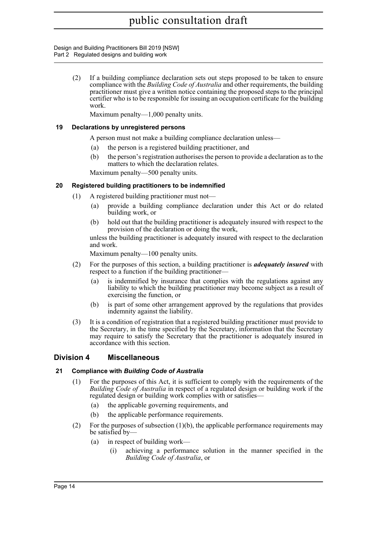Design and Building Practitioners Bill 2019 [NSW] Part 2 Regulated designs and building work

> (2) If a building compliance declaration sets out steps proposed to be taken to ensure compliance with the *Building Code of Australia* and other requirements, the building practitioner must give a written notice containing the proposed steps to the principal certifier who is to be responsible for issuing an occupation certificate for the building work.

Maximum penalty—1,000 penalty units.

### <span id="page-17-0"></span>**19 Declarations by unregistered persons**

A person must not make a building compliance declaration unless—

- (a) the person is a registered building practitioner, and
- (b) the person's registration authorises the person to provide a declaration as to the matters to which the declaration relates.

Maximum penalty—500 penalty units.

### <span id="page-17-1"></span>**20 Registered building practitioners to be indemnified**

- (1) A registered building practitioner must not—
	- (a) provide a building compliance declaration under this Act or do related building work, or
	- (b) hold out that the building practitioner is adequately insured with respect to the provision of the declaration or doing the work,

unless the building practitioner is adequately insured with respect to the declaration and work.

Maximum penalty—100 penalty units.

- (2) For the purposes of this section, a building practitioner is *adequately insured* with respect to a function if the building practitioner—
	- (a) is indemnified by insurance that complies with the regulations against any liability to which the building practitioner may become subject as a result of exercising the function, or
	- (b) is part of some other arrangement approved by the regulations that provides indemnity against the liability.
- (3) It is a condition of registration that a registered building practitioner must provide to the Secretary, in the time specified by the Secretary, information that the Secretary may require to satisfy the Secretary that the practitioner is adequately insured in accordance with this section.

### <span id="page-17-2"></span>**Division 4 Miscellaneous**

### <span id="page-17-3"></span>**21 Compliance with** *Building Code of Australia*

- (1) For the purposes of this Act, it is sufficient to comply with the requirements of the *Building Code of Australia* in respect of a regulated design or building work if the regulated design or building work complies with or satisfies—
	- (a) the applicable governing requirements, and
	- (b) the applicable performance requirements.
- (2) For the purposes of subsection  $(1)(b)$ , the applicable performance requirements may be satisfied by—
	- (a) in respect of building work—
		- (i) achieving a performance solution in the manner specified in the *Building Code of Australia*, or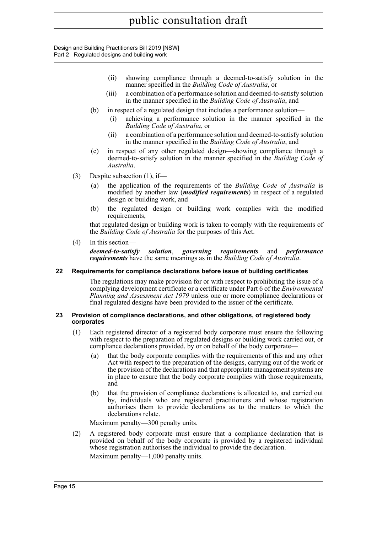- (ii) showing compliance through a deemed-to-satisfy solution in the manner specified in the *Building Code of Australia*, or
- (iii) a combination of a performance solution and deemed-to-satisfy solution in the manner specified in the *Building Code of Australia*, and
- (b) in respect of a regulated design that includes a performance solution
	- achieving a performance solution in the manner specified in the *Building Code of Australia*, or
	- (ii) a combination of a performance solution and deemed-to-satisfy solution in the manner specified in the *Building Code of Australia*, and
- (c) in respect of any other regulated design—showing compliance through a deemed-to-satisfy solution in the manner specified in the *Building Code of Australia*.
- (3) Despite subsection (1), if—
	- (a) the application of the requirements of the *Building Code of Australia* is modified by another law (*modified requirements*) in respect of a regulated design or building work, and
	- (b) the regulated design or building work complies with the modified requirements,

that regulated design or building work is taken to comply with the requirements of the *Building Code of Australia* for the purposes of this Act.

(4) In this section—

*deemed-to-satisfy solution*, *governing requirements* and *performance requirements* have the same meanings as in the *Building Code of Australia*.

### <span id="page-18-0"></span>**22 Requirements for compliance declarations before issue of building certificates**

The regulations may make provision for or with respect to prohibiting the issue of a complying development certificate or a certificate under Part 6 of the *Environmental Planning and Assessment Act 1979* unless one or more compliance declarations or final regulated designs have been provided to the issuer of the certificate.

#### <span id="page-18-1"></span>**23 Provision of compliance declarations, and other obligations, of registered body corporates**

- (1) Each registered director of a registered body corporate must ensure the following with respect to the preparation of regulated designs or building work carried out, or compliance declarations provided, by or on behalf of the body corporate—
	- (a) that the body corporate complies with the requirements of this and any other Act with respect to the preparation of the designs, carrying out of the work or the provision of the declarations and that appropriate management systems are in place to ensure that the body corporate complies with those requirements, and
	- (b) that the provision of compliance declarations is allocated to, and carried out by, individuals who are registered practitioners and whose registration authorises them to provide declarations as to the matters to which the declarations relate.

Maximum penalty—300 penalty units.

(2) A registered body corporate must ensure that a compliance declaration that is provided on behalf of the body corporate is provided by a registered individual whose registration authorises the individual to provide the declaration. Maximum penalty—1,000 penalty units.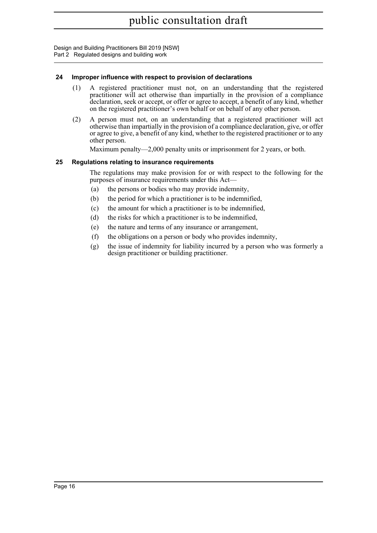### <span id="page-19-0"></span>**24 Improper influence with respect to provision of declarations**

- (1) A registered practitioner must not, on an understanding that the registered practitioner will act otherwise than impartially in the provision of a compliance declaration, seek or accept, or offer or agree to accept, a benefit of any kind, whether on the registered practitioner's own behalf or on behalf of any other person.
- (2) A person must not, on an understanding that a registered practitioner will act otherwise than impartially in the provision of a compliance declaration, give, or offer or agree to give, a benefit of any kind, whether to the registered practitioner or to any other person.

Maximum penalty—2,000 penalty units or imprisonment for 2 years, or both.

### <span id="page-19-1"></span>**25 Regulations relating to insurance requirements**

The regulations may make provision for or with respect to the following for the purposes of insurance requirements under this Act—

- (a) the persons or bodies who may provide indemnity,
- (b) the period for which a practitioner is to be indemnified,
- (c) the amount for which a practitioner is to be indemnified,
- (d) the risks for which a practitioner is to be indemnified,
- (e) the nature and terms of any insurance or arrangement,
- (f) the obligations on a person or body who provides indemnity,
- (g) the issue of indemnity for liability incurred by a person who was formerly a design practitioner or building practitioner.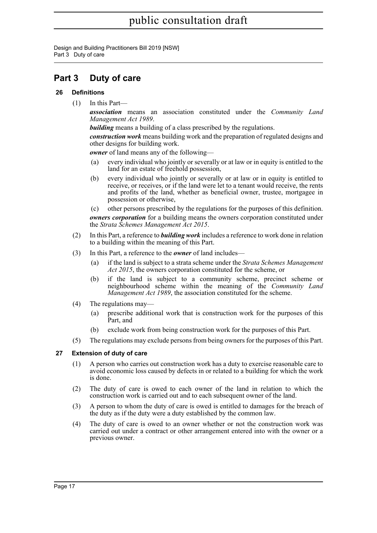Design and Building Practitioners Bill 2019 [NSW] Part 3 Duty of care

### <span id="page-20-0"></span>**Part 3 Duty of care**

### <span id="page-20-1"></span>**26 Definitions**

(1) In this Part—

*association* means an association constituted under the *Community Land Management Act 1989*.

**building** means a building of a class prescribed by the regulations.

*construction work* means building work and the preparation of regulated designs and other designs for building work.

*owner* of land means any of the following—

- (a) every individual who jointly or severally or at law or in equity is entitled to the land for an estate of freehold possession,
- (b) every individual who jointly or severally or at law or in equity is entitled to receive, or receives, or if the land were let to a tenant would receive, the rents and profits of the land, whether as beneficial owner, trustee, mortgagee in possession or otherwise,

(c) other persons prescribed by the regulations for the purposes of this definition. *owners corporation* for a building means the owners corporation constituted under the *Strata Schemes Management Act 2015*.

- (2) In this Part, a reference to *building work* includes a reference to work done in relation to a building within the meaning of this Part.
- (3) In this Part, a reference to the *owner* of land includes—
	- (a) if the land is subject to a strata scheme under the *Strata Schemes Management Act 2015*, the owners corporation constituted for the scheme, or
	- (b) if the land is subject to a community scheme, precinct scheme or neighbourhood scheme within the meaning of the *Community Land Management Act 1989*, the association constituted for the scheme.
- (4) The regulations may—
	- (a) prescribe additional work that is construction work for the purposes of this Part, and
	- (b) exclude work from being construction work for the purposes of this Part.
- (5) The regulations may exclude persons from being owners for the purposes of this Part.

### <span id="page-20-2"></span>**27 Extension of duty of care**

- (1) A person who carries out construction work has a duty to exercise reasonable care to avoid economic loss caused by defects in or related to a building for which the work is done.
- (2) The duty of care is owed to each owner of the land in relation to which the construction work is carried out and to each subsequent owner of the land.
- (3) A person to whom the duty of care is owed is entitled to damages for the breach of the duty as if the duty were a duty established by the common law.
- (4) The duty of care is owed to an owner whether or not the construction work was carried out under a contract or other arrangement entered into with the owner or a previous owner.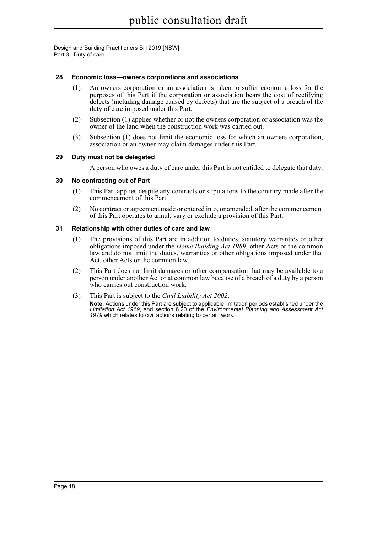Design and Building Practitioners Bill 2019 [NSW] Part 3 Duty of care

#### <span id="page-21-0"></span>**28 Economic loss—owners corporations and associations**

- (1) An owners corporation or an association is taken to suffer economic loss for the purposes of this Part if the corporation or association bears the cost of rectifying defects (including damage caused by defects) that are the subject of a breach of the duty of care imposed under this Part.
- (2) Subsection (1) applies whether or not the owners corporation or association was the owner of the land when the construction work was carried out.
- (3) Subsection (1) does not limit the economic loss for which an owners corporation, association or an owner may claim damages under this Part.

#### <span id="page-21-1"></span>**29 Duty must not be delegated**

A person who owes a duty of care under this Part is not entitled to delegate that duty.

#### <span id="page-21-2"></span>**30 No contracting out of Part**

- (1) This Part applies despite any contracts or stipulations to the contrary made after the commencement of this Part.
- (2) No contract or agreement made or entered into, or amended, after the commencement of this Part operates to annul, vary or exclude a provision of this Part.

#### <span id="page-21-3"></span>**31 Relationship with other duties of care and law**

- (1) The provisions of this Part are in addition to duties, statutory warranties or other obligations imposed under the *Home Building Act 1989*, other Acts or the common law and do not limit the duties, warranties or other obligations imposed under that Act, other Acts or the common law.
- (2) This Part does not limit damages or other compensation that may be available to a person under another Act or at common law because of a breach of a duty by a person who carries out construction work.
- (3) This Part is subject to the *Civil Liability Act 2002*.

**Note.** Actions under this Part are subject to applicable limitation periods established under the *Limitation Act 1969*, and section 6.20 of the *Environmental Planning and Assessment Act 1979* which relates to civil actions relating to certain work.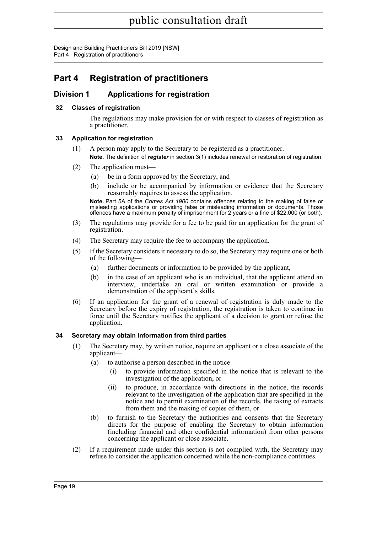Design and Building Practitioners Bill 2019 [NSW] Part 4 Registration of practitioners

### <span id="page-22-0"></span>**Part 4 Registration of practitioners**

### <span id="page-22-1"></span>**Division 1 Applications for registration**

### <span id="page-22-2"></span>**32 Classes of registration**

The regulations may make provision for or with respect to classes of registration as a practitioner.

### <span id="page-22-3"></span>**33 Application for registration**

- (1) A person may apply to the Secretary to be registered as a practitioner. **Note.** The definition of *register* in section 3(1) includes renewal or restoration of registration.
- (2) The application must—
	- (a) be in a form approved by the Secretary, and
	- (b) include or be accompanied by information or evidence that the Secretary reasonably requires to assess the application.

**Note.** Part 5A of the *Crimes Act 1900* contains offences relating to the making of false or misleading applications or providing false or misleading information or documents. Those offences have a maximum penalty of imprisonment for 2 years or a fine of \$22,000 (or both).

- (3) The regulations may provide for a fee to be paid for an application for the grant of registration.
- (4) The Secretary may require the fee to accompany the application.
- (5) If the Secretary considers it necessary to do so, the Secretary may require one or both of the following—
	- (a) further documents or information to be provided by the applicant,
	- (b) in the case of an applicant who is an individual, that the applicant attend an interview, undertake an oral or written examination or provide a demonstration of the applicant's skills.
- (6) If an application for the grant of a renewal of registration is duly made to the Secretary before the expiry of registration, the registration is taken to continue in force until the Secretary notifies the applicant of a decision to grant or refuse the application.

### <span id="page-22-4"></span>**34 Secretary may obtain information from third parties**

- (1) The Secretary may, by written notice, require an applicant or a close associate of the applicant—
	- (a) to authorise a person described in the notice—
		- (i) to provide information specified in the notice that is relevant to the investigation of the application, or
		- (ii) to produce, in accordance with directions in the notice, the records relevant to the investigation of the application that are specified in the notice and to permit examination of the records, the taking of extracts from them and the making of copies of them, or
	- (b) to furnish to the Secretary the authorities and consents that the Secretary directs for the purpose of enabling the Secretary to obtain information (including financial and other confidential information) from other persons concerning the applicant or close associate.
- (2) If a requirement made under this section is not complied with, the Secretary may refuse to consider the application concerned while the non-compliance continues.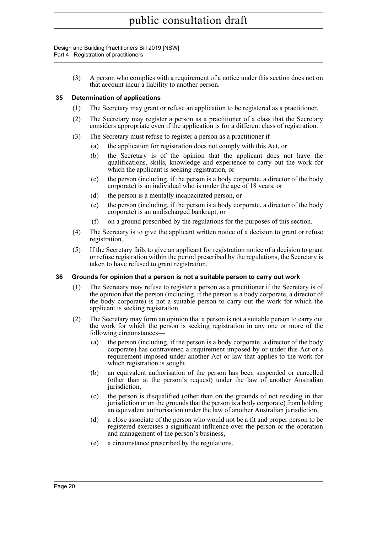Design and Building Practitioners Bill 2019 [NSW] Part 4 Registration of practitioners

> (3) A person who complies with a requirement of a notice under this section does not on that account incur a liability to another person.

### <span id="page-23-0"></span>**35 Determination of applications**

- (1) The Secretary may grant or refuse an application to be registered as a practitioner.
- (2) The Secretary may register a person as a practitioner of a class that the Secretary considers appropriate even if the application is for a different class of registration.
- (3) The Secretary must refuse to register a person as a practitioner if—
	- (a) the application for registration does not comply with this Act, or
	- (b) the Secretary is of the opinion that the applicant does not have the qualifications, skills, knowledge and experience to carry out the work for which the applicant is seeking registration, or
	- (c) the person (including, if the person is a body corporate, a director of the body corporate) is an individual who is under the age of 18 years, or
	- (d) the person is a mentally incapacitated person, or
	- (e) the person (including, if the person is a body corporate, a director of the body corporate) is an undischarged bankrupt, or
	- (f) on a ground prescribed by the regulations for the purposes of this section.
- (4) The Secretary is to give the applicant written notice of a decision to grant or refuse registration.
- (5) If the Secretary fails to give an applicant for registration notice of a decision to grant or refuse registration within the period prescribed by the regulations, the Secretary is taken to have refused to grant registration.

### <span id="page-23-1"></span>**36 Grounds for opinion that a person is not a suitable person to carry out work**

- (1) The Secretary may refuse to register a person as a practitioner if the Secretary is of the opinion that the person (including, if the person is a body corporate, a director of the body corporate) is not a suitable person to carry out the work for which the applicant is seeking registration.
- (2) The Secretary may form an opinion that a person is not a suitable person to carry out the work for which the person is seeking registration in any one or more of the following circumstances—
	- (a) the person (including, if the person is a body corporate, a director of the body corporate) has contravened a requirement imposed by or under this Act or a requirement imposed under another Act or law that applies to the work for which registration is sought,
	- (b) an equivalent authorisation of the person has been suspended or cancelled (other than at the person's request) under the law of another Australian jurisdiction,
	- (c) the person is disqualified (other than on the grounds of not residing in that jurisdiction or on the grounds that the person is a body corporate) from holding an equivalent authorisation under the law of another Australian jurisdiction,
	- (d) a close associate of the person who would not be a fit and proper person to be registered exercises a significant influence over the person or the operation and management of the person's business,
	- (e) a circumstance prescribed by the regulations.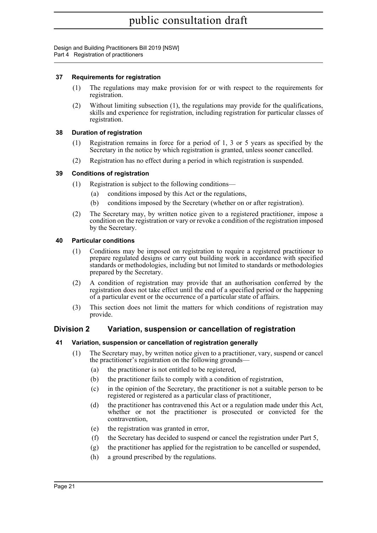Design and Building Practitioners Bill 2019 [NSW] Part 4 Registration of practitioners

### <span id="page-24-0"></span>**37 Requirements for registration**

- (1) The regulations may make provision for or with respect to the requirements for registration.
- (2) Without limiting subsection (1), the regulations may provide for the qualifications, skills and experience for registration, including registration for particular classes of registration.

### <span id="page-24-1"></span>**38 Duration of registration**

- (1) Registration remains in force for a period of 1, 3 or 5 years as specified by the Secretary in the notice by which registration is granted, unless sooner cancelled.
- (2) Registration has no effect during a period in which registration is suspended.

### <span id="page-24-2"></span>**39 Conditions of registration**

- (1) Registration is subject to the following conditions—
	- (a) conditions imposed by this Act or the regulations,
	- (b) conditions imposed by the Secretary (whether on or after registration).
- (2) The Secretary may, by written notice given to a registered practitioner, impose a condition on the registration or vary or revoke a condition of the registration imposed by the Secretary.

### <span id="page-24-3"></span>**40 Particular conditions**

- (1) Conditions may be imposed on registration to require a registered practitioner to prepare regulated designs or carry out building work in accordance with specified standards or methodologies, including but not limited to standards or methodologies prepared by the Secretary.
- (2) A condition of registration may provide that an authorisation conferred by the registration does not take effect until the end of a specified period or the happening of a particular event or the occurrence of a particular state of affairs.
- (3) This section does not limit the matters for which conditions of registration may provide.

### <span id="page-24-4"></span>**Division 2 Variation, suspension or cancellation of registration**

### <span id="page-24-5"></span>**41 Variation, suspension or cancellation of registration generally**

- (1) The Secretary may, by written notice given to a practitioner, vary, suspend or cancel the practitioner's registration on the following grounds—
	- (a) the practitioner is not entitled to be registered,
	- (b) the practitioner fails to comply with a condition of registration,
	- (c) in the opinion of the Secretary, the practitioner is not a suitable person to be registered or registered as a particular class of practitioner,
	- (d) the practitioner has contravened this Act or a regulation made under this Act, whether or not the practitioner is prosecuted or convicted for the contravention,
	- (e) the registration was granted in error,
	- (f) the Secretary has decided to suspend or cancel the registration under Part 5,
	- (g) the practitioner has applied for the registration to be cancelled or suspended,
	- (h) a ground prescribed by the regulations.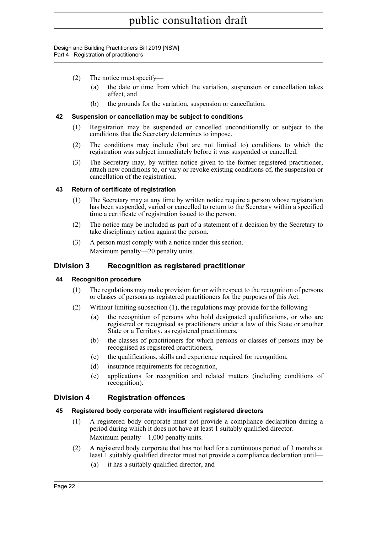#### Design and Building Practitioners Bill 2019 [NSW] Part 4 Registration of practitioners

- (2) The notice must specify—
	- (a) the date or time from which the variation, suspension or cancellation takes effect, and
	- (b) the grounds for the variation, suspension or cancellation.

#### <span id="page-25-0"></span>**42 Suspension or cancellation may be subject to conditions**

- (1) Registration may be suspended or cancelled unconditionally or subject to the conditions that the Secretary determines to impose.
- (2) The conditions may include (but are not limited to) conditions to which the registration was subject immediately before it was suspended or cancelled.
- (3) The Secretary may, by written notice given to the former registered practitioner, attach new conditions to, or vary or revoke existing conditions of, the suspension or cancellation of the registration.

#### <span id="page-25-1"></span>**43 Return of certificate of registration**

- (1) The Secretary may at any time by written notice require a person whose registration has been suspended, varied or cancelled to return to the Secretary within a specified time a certificate of registration issued to the person.
- (2) The notice may be included as part of a statement of a decision by the Secretary to take disciplinary action against the person.
- (3) A person must comply with a notice under this section. Maximum penalty—20 penalty units.

### <span id="page-25-2"></span>**Division 3 Recognition as registered practitioner**

### <span id="page-25-3"></span>**44 Recognition procedure**

- (1) The regulations may make provision for or with respect to the recognition of persons or classes of persons as registered practitioners for the purposes of this Act.
- (2) Without limiting subsection (1), the regulations may provide for the following—
	- (a) the recognition of persons who hold designated qualifications, or who are registered or recognised as practitioners under a law of this State or another State or a Territory, as registered practitioners,
	- (b) the classes of practitioners for which persons or classes of persons may be recognised as registered practitioners,
	- (c) the qualifications, skills and experience required for recognition,
	- (d) insurance requirements for recognition,
	- (e) applications for recognition and related matters (including conditions of recognition).

### <span id="page-25-4"></span>**Division 4 Registration offences**

### <span id="page-25-5"></span>**45 Registered body corporate with insufficient registered directors**

- (1) A registered body corporate must not provide a compliance declaration during a period during which it does not have at least 1 suitably qualified director. Maximum penalty—1,000 penalty units.
- (2) A registered body corporate that has not had for a continuous period of 3 months at least 1 suitably qualified director must not provide a compliance declaration until—
	- (a) it has a suitably qualified director, and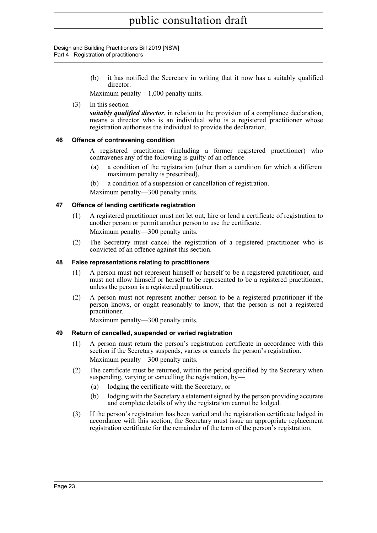Design and Building Practitioners Bill 2019 [NSW] Part 4 Registration of practitioners

> (b) it has notified the Secretary in writing that it now has a suitably qualified director.

Maximum penalty—1,000 penalty units.

(3) In this section—

*suitably qualified director*, in relation to the provision of a compliance declaration, means a director who is an individual who is a registered practitioner whose registration authorises the individual to provide the declaration.

### <span id="page-26-0"></span>**46 Offence of contravening condition**

A registered practitioner (including a former registered practitioner) who contravenes any of the following is guilty of an offence—

- (a) a condition of the registration (other than a condition for which a different maximum penalty is prescribed),
- (b) a condition of a suspension or cancellation of registration.

Maximum penalty—300 penalty units.

### <span id="page-26-1"></span>**47 Offence of lending certificate registration**

- (1) A registered practitioner must not let out, hire or lend a certificate of registration to another person or permit another person to use the certificate. Maximum penalty—300 penalty units.
- (2) The Secretary must cancel the registration of a registered practitioner who is convicted of an offence against this section.

### <span id="page-26-2"></span>**48 False representations relating to practitioners**

- (1) A person must not represent himself or herself to be a registered practitioner, and must not allow himself or herself to be represented to be a registered practitioner, unless the person is a registered practitioner.
- (2) A person must not represent another person to be a registered practitioner if the person knows, or ought reasonably to know, that the person is not a registered practitioner.

Maximum penalty—300 penalty units.

### <span id="page-26-3"></span>**49 Return of cancelled, suspended or varied registration**

- (1) A person must return the person's registration certificate in accordance with this section if the Secretary suspends, varies or cancels the person's registration. Maximum penalty—300 penalty units.
- (2) The certificate must be returned, within the period specified by the Secretary when suspending, varying or cancelling the registration, by—
	- (a) lodging the certificate with the Secretary, or
	- (b) lodging with the Secretary a statement signed by the person providing accurate and complete details of why the registration cannot be lodged.
- (3) If the person's registration has been varied and the registration certificate lodged in accordance with this section, the Secretary must issue an appropriate replacement registration certificate for the remainder of the term of the person's registration.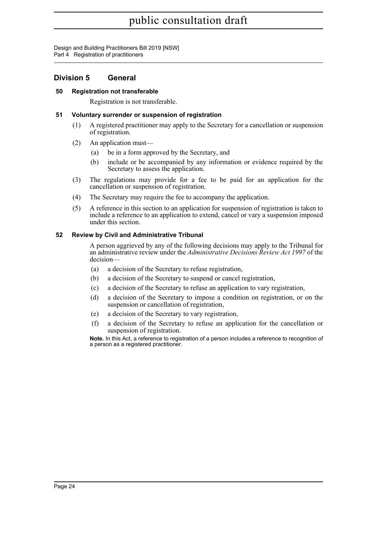Design and Building Practitioners Bill 2019 [NSW] Part 4 Registration of practitioners

### <span id="page-27-0"></span>**Division 5 General**

### <span id="page-27-1"></span>**50 Registration not transferable**

Registration is not transferable.

### <span id="page-27-2"></span>**51 Voluntary surrender or suspension of registration**

- (1) A registered practitioner may apply to the Secretary for a cancellation or suspension of registration.
- (2) An application must—
	- (a) be in a form approved by the Secretary, and
	- (b) include or be accompanied by any information or evidence required by the Secretary to assess the application.
- (3) The regulations may provide for a fee to be paid for an application for the cancellation or suspension of registration.
- (4) The Secretary may require the fee to accompany the application.
- (5) A reference in this section to an application for suspension of registration is taken to include a reference to an application to extend, cancel or vary a suspension imposed under this section.

### <span id="page-27-3"></span>**52 Review by Civil and Administrative Tribunal**

A person aggrieved by any of the following decisions may apply to the Tribunal for an administrative review under the *Administrative Decisions Review Act 1997* of the decision—

- (a) a decision of the Secretary to refuse registration,
- (b) a decision of the Secretary to suspend or cancel registration,
- (c) a decision of the Secretary to refuse an application to vary registration,
- (d) a decision of the Secretary to impose a condition on registration, or on the suspension or cancellation of registration,
- (e) a decision of the Secretary to vary registration,
- (f) a decision of the Secretary to refuse an application for the cancellation or suspension of registration.

**Note.** In this Act, a reference to registration of a person includes a reference to recognition of a person as a registered practitioner.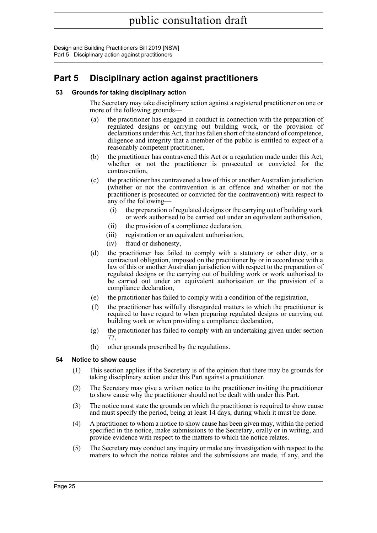Design and Building Practitioners Bill 2019 [NSW] Part 5 Disciplinary action against practitioners

### <span id="page-28-0"></span>**Part 5 Disciplinary action against practitioners**

### <span id="page-28-1"></span>**53 Grounds for taking disciplinary action**

The Secretary may take disciplinary action against a registered practitioner on one or more of the following grounds—

- (a) the practitioner has engaged in conduct in connection with the preparation of regulated designs or carrying out building work, or the provision of declarations under this Act, that has fallen short of the standard of competence, diligence and integrity that a member of the public is entitled to expect of a reasonably competent practitioner,
- (b) the practitioner has contravened this Act or a regulation made under this Act, whether or not the practitioner is prosecuted or convicted for the contravention,
- (c) the practitioner has contravened a law of this or another Australian jurisdiction (whether or not the contravention is an offence and whether or not the practitioner is prosecuted or convicted for the contravention) with respect to any of the following—
	- (i) the preparation of regulated designs or the carrying out of building work or work authorised to be carried out under an equivalent authorisation,
	- (ii) the provision of a compliance declaration,
	- (iii) registration or an equivalent authorisation,
	- (iv) fraud or dishonesty,
- (d) the practitioner has failed to comply with a statutory or other duty, or a contractual obligation, imposed on the practitioner by or in accordance with a law of this or another Australian jurisdiction with respect to the preparation of regulated designs or the carrying out of building work or work authorised to be carried out under an equivalent authorisation or the provision of a compliance declaration,
- (e) the practitioner has failed to comply with a condition of the registration,
- (f) the practitioner has wilfully disregarded matters to which the practitioner is required to have regard to when preparing regulated designs or carrying out building work or when providing a compliance declaration,
- (g) the practitioner has failed to comply with an undertaking given under section 77,
- (h) other grounds prescribed by the regulations.

### <span id="page-28-2"></span>**54 Notice to show cause**

- (1) This section applies if the Secretary is of the opinion that there may be grounds for taking disciplinary action under this Part against a practitioner.
- (2) The Secretary may give a written notice to the practitioner inviting the practitioner to show cause why the practitioner should not be dealt with under this Part.
- (3) The notice must state the grounds on which the practitioner is required to show cause and must specify the period, being at least 14 days, during which it must be done.
- (4) A practitioner to whom a notice to show cause has been given may, within the period specified in the notice, make submissions to the Secretary, orally or in writing, and provide evidence with respect to the matters to which the notice relates.
- (5) The Secretary may conduct any inquiry or make any investigation with respect to the matters to which the notice relates and the submissions are made, if any, and the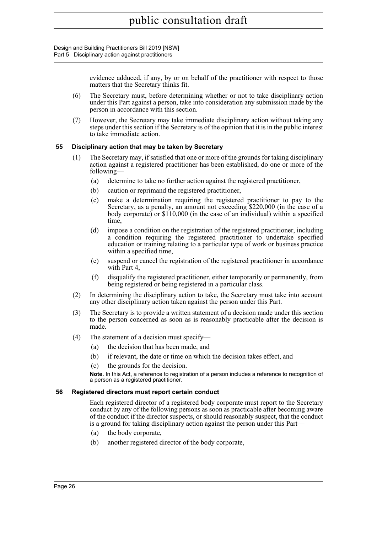Design and Building Practitioners Bill 2019 [NSW] Part 5 Disciplinary action against practitioners

> evidence adduced, if any, by or on behalf of the practitioner with respect to those matters that the Secretary thinks fit.

- (6) The Secretary must, before determining whether or not to take disciplinary action under this Part against a person, take into consideration any submission made by the person in accordance with this section.
- (7) However, the Secretary may take immediate disciplinary action without taking any steps under this section if the Secretary is of the opinion that it is in the public interest to take immediate action.

### <span id="page-29-0"></span>**55 Disciplinary action that may be taken by Secretary**

- (1) The Secretary may, if satisfied that one or more of the grounds for taking disciplinary action against a registered practitioner has been established, do one or more of the following—
	- (a) determine to take no further action against the registered practitioner,
	- (b) caution or reprimand the registered practitioner,
	- (c) make a determination requiring the registered practitioner to pay to the Secretary, as a penalty, an amount not exceeding \$220,000 (in the case of a body corporate) or \$110,000 (in the case of an individual) within a specified time,
	- (d) impose a condition on the registration of the registered practitioner, including a condition requiring the registered practitioner to undertake specified education or training relating to a particular type of work or business practice within a specified time,
	- (e) suspend or cancel the registration of the registered practitioner in accordance with Part 4,
	- (f) disqualify the registered practitioner, either temporarily or permanently, from being registered or being registered in a particular class.
- (2) In determining the disciplinary action to take, the Secretary must take into account any other disciplinary action taken against the person under this Part.
- (3) The Secretary is to provide a written statement of a decision made under this section to the person concerned as soon as is reasonably practicable after the decision is made.
- (4) The statement of a decision must specify—
	- (a) the decision that has been made, and
	- (b) if relevant, the date or time on which the decision takes effect, and
	- (c) the grounds for the decision.

**Note.** In this Act, a reference to registration of a person includes a reference to recognition of a person as a registered practitioner.

#### <span id="page-29-1"></span>**56 Registered directors must report certain conduct**

Each registered director of a registered body corporate must report to the Secretary conduct by any of the following persons as soon as practicable after becoming aware of the conduct if the director suspects, or should reasonably suspect, that the conduct is a ground for taking disciplinary action against the person under this Part—

- (a) the body corporate,
- (b) another registered director of the body corporate,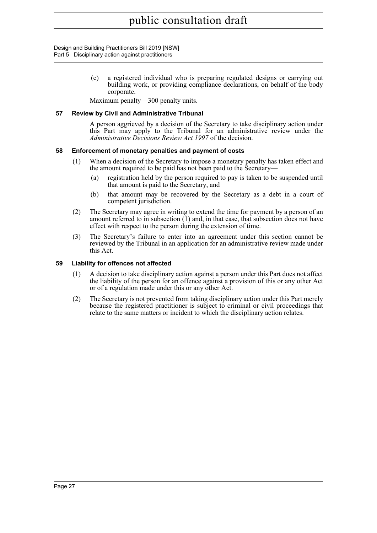Design and Building Practitioners Bill 2019 [NSW] Part 5 Disciplinary action against practitioners

> (c) a registered individual who is preparing regulated designs or carrying out building work, or providing compliance declarations, on behalf of the body corporate.

Maximum penalty—300 penalty units.

#### <span id="page-30-0"></span>**57 Review by Civil and Administrative Tribunal**

A person aggrieved by a decision of the Secretary to take disciplinary action under this Part may apply to the Tribunal for an administrative review under the *Administrative Decisions Review Act 1997* of the decision.

#### <span id="page-30-1"></span>**58 Enforcement of monetary penalties and payment of costs**

- (1) When a decision of the Secretary to impose a monetary penalty has taken effect and the amount required to be paid has not been paid to the Secretary—
	- (a) registration held by the person required to pay is taken to be suspended until that amount is paid to the Secretary, and
	- (b) that amount may be recovered by the Secretary as a debt in a court of competent jurisdiction.
- (2) The Secretary may agree in writing to extend the time for payment by a person of an amount referred to in subsection  $(1)$  and, in that case, that subsection does not have effect with respect to the person during the extension of time.
- (3) The Secretary's failure to enter into an agreement under this section cannot be reviewed by the Tribunal in an application for an administrative review made under this Act.

#### <span id="page-30-2"></span>**59 Liability for offences not affected**

- (1) A decision to take disciplinary action against a person under this Part does not affect the liability of the person for an offence against a provision of this or any other Act or of a regulation made under this or any other Act.
- (2) The Secretary is not prevented from taking disciplinary action under this Part merely because the registered practitioner is subject to criminal or civil proceedings that relate to the same matters or incident to which the disciplinary action relates.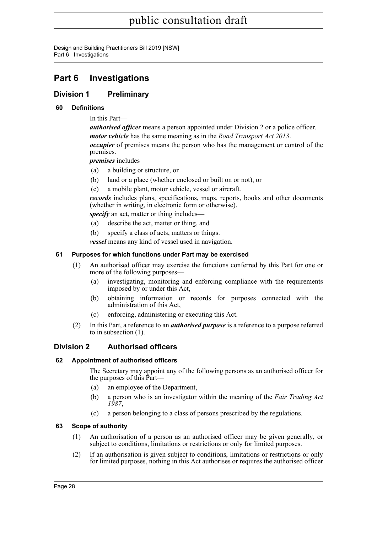Design and Building Practitioners Bill 2019 [NSW] Part 6 Investigations

### <span id="page-31-0"></span>**Part 6 Investigations**

### <span id="page-31-1"></span>**Division 1 Preliminary**

### <span id="page-31-2"></span>**60 Definitions**

In this Part—

*authorised officer* means a person appointed under Division 2 or a police officer. *motor vehicle* has the same meaning as in the *Road Transport Act 2013*. *occupier* of premises means the person who has the management or control of the premises.

*premises* includes—

- (a) a building or structure, or
- (b) land or a place (whether enclosed or built on or not), or
- (c) a mobile plant, motor vehicle, vessel or aircraft.

*records* includes plans, specifications, maps, reports, books and other documents (whether in writing, in electronic form or otherwise).

*specify* an act, matter or thing includes—

- (a) describe the act, matter or thing, and
- (b) specify a class of acts, matters or things.

*vessel* means any kind of vessel used in navigation.

### <span id="page-31-3"></span>**61 Purposes for which functions under Part may be exercised**

- (1) An authorised officer may exercise the functions conferred by this Part for one or more of the following purposes—
	- (a) investigating, monitoring and enforcing compliance with the requirements imposed by or under this Act,
	- (b) obtaining information or records for purposes connected with the administration of this Act,
	- (c) enforcing, administering or executing this Act.
- (2) In this Part, a reference to an *authorised purpose* is a reference to a purpose referred to in subsection (1).

### <span id="page-31-4"></span>**Division 2 Authorised officers**

### <span id="page-31-5"></span>**62 Appointment of authorised officers**

The Secretary may appoint any of the following persons as an authorised officer for the purposes of this Part—

- (a) an employee of the Department,
- (b) a person who is an investigator within the meaning of the *Fair Trading Act 1987*,
- (c) a person belonging to a class of persons prescribed by the regulations.

### <span id="page-31-6"></span>**63 Scope of authority**

- (1) An authorisation of a person as an authorised officer may be given generally, or subject to conditions, limitations or restrictions or only for limited purposes.
- (2) If an authorisation is given subject to conditions, limitations or restrictions or only for limited purposes, nothing in this Act authorises or requires the authorised officer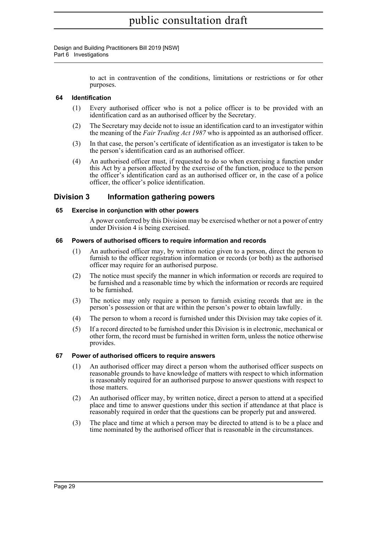Design and Building Practitioners Bill 2019 [NSW] Part 6 Investigations

> to act in contravention of the conditions, limitations or restrictions or for other purposes.

### <span id="page-32-0"></span>**64 Identification**

- (1) Every authorised officer who is not a police officer is to be provided with an identification card as an authorised officer by the Secretary.
- (2) The Secretary may decide not to issue an identification card to an investigator within the meaning of the *Fair Trading Act 1987* who is appointed as an authorised officer.
- (3) In that case, the person's certificate of identification as an investigator is taken to be the person's identification card as an authorised officer.
- (4) An authorised officer must, if requested to do so when exercising a function under this Act by a person affected by the exercise of the function, produce to the person the officer's identification card as an authorised officer or, in the case of a police officer, the officer's police identification.

### <span id="page-32-1"></span>**Division 3 Information gathering powers**

#### <span id="page-32-2"></span>**65 Exercise in conjunction with other powers**

A power conferred by this Division may be exercised whether or not a power of entry under Division 4 is being exercised.

#### <span id="page-32-3"></span>**66 Powers of authorised officers to require information and records**

- (1) An authorised officer may, by written notice given to a person, direct the person to furnish to the officer registration information or records (or both) as the authorised officer may require for an authorised purpose.
- (2) The notice must specify the manner in which information or records are required to be furnished and a reasonable time by which the information or records are required to be furnished.
- (3) The notice may only require a person to furnish existing records that are in the person's possession or that are within the person's power to obtain lawfully.
- (4) The person to whom a record is furnished under this Division may take copies of it.
- (5) If a record directed to be furnished under this Division is in electronic, mechanical or other form, the record must be furnished in written form, unless the notice otherwise provides.

#### <span id="page-32-4"></span>**67 Power of authorised officers to require answers**

- (1) An authorised officer may direct a person whom the authorised officer suspects on reasonable grounds to have knowledge of matters with respect to which information is reasonably required for an authorised purpose to answer questions with respect to those matters.
- (2) An authorised officer may, by written notice, direct a person to attend at a specified place and time to answer questions under this section if attendance at that place is reasonably required in order that the questions can be properly put and answered.
- (3) The place and time at which a person may be directed to attend is to be a place and time nominated by the authorised officer that is reasonable in the circumstances.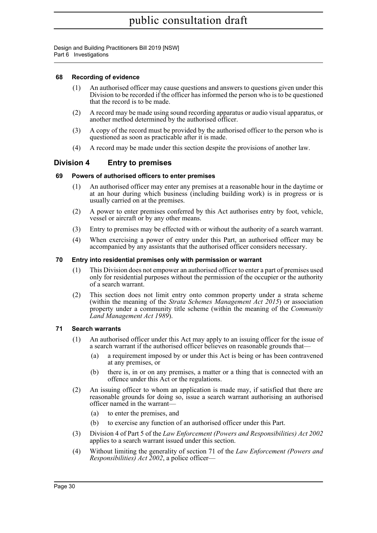Design and Building Practitioners Bill 2019 [NSW] Part 6 Investigations

### <span id="page-33-0"></span>**68 Recording of evidence**

- (1) An authorised officer may cause questions and answers to questions given under this Division to be recorded if the officer has informed the person who is to be questioned that the record is to be made.
- (2) A record may be made using sound recording apparatus or audio visual apparatus, or another method determined by the authorised officer.
- (3) A copy of the record must be provided by the authorised officer to the person who is questioned as soon as practicable after it is made.
- (4) A record may be made under this section despite the provisions of another law.

### <span id="page-33-1"></span>**Division 4 Entry to premises**

### <span id="page-33-2"></span>**69 Powers of authorised officers to enter premises**

- (1) An authorised officer may enter any premises at a reasonable hour in the daytime or at an hour during which business (including building work) is in progress or is usually carried on at the premises.
- (2) A power to enter premises conferred by this Act authorises entry by foot, vehicle, vessel or aircraft or by any other means.
- (3) Entry to premises may be effected with or without the authority of a search warrant.
- (4) When exercising a power of entry under this Part, an authorised officer may be accompanied by any assistants that the authorised officer considers necessary.

#### <span id="page-33-3"></span>**70 Entry into residential premises only with permission or warrant**

- (1) This Division does not empower an authorised officer to enter a part of premises used only for residential purposes without the permission of the occupier or the authority of a search warrant.
- (2) This section does not limit entry onto common property under a strata scheme (within the meaning of the *Strata Schemes Management Act 2015*) or association property under a community title scheme (within the meaning of the *Community Land Management Act 1989*).

### <span id="page-33-4"></span>**71 Search warrants**

- (1) An authorised officer under this Act may apply to an issuing officer for the issue of a search warrant if the authorised officer believes on reasonable grounds that—
	- (a) a requirement imposed by or under this Act is being or has been contravened at any premises, or
	- (b) there is, in or on any premises, a matter or a thing that is connected with an offence under this Act or the regulations.
- (2) An issuing officer to whom an application is made may, if satisfied that there are reasonable grounds for doing so, issue a search warrant authorising an authorised officer named in the warrant—
	- (a) to enter the premises, and
	- (b) to exercise any function of an authorised officer under this Part.
- (3) Division 4 of Part 5 of the *Law Enforcement (Powers and Responsibilities) Act 2002* applies to a search warrant issued under this section.
- (4) Without limiting the generality of section 71 of the *Law Enforcement (Powers and Responsibilities) Act 2002*, a police officer—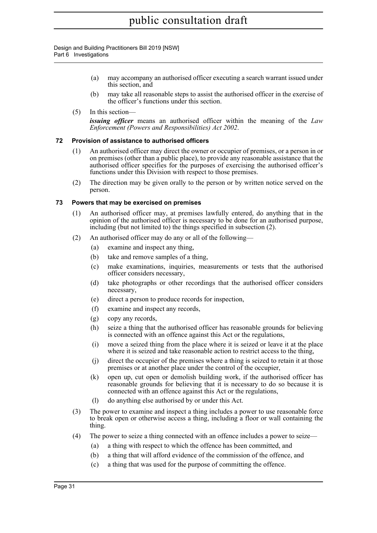Design and Building Practitioners Bill 2019 [NSW] Part 6 Investigations

- (a) may accompany an authorised officer executing a search warrant issued under this section, and
- (b) may take all reasonable steps to assist the authorised officer in the exercise of the officer's functions under this section.
- (5) In this section—

*issuing officer* means an authorised officer within the meaning of the *Law Enforcement (Powers and Responsibilities) Act 2002*.

### <span id="page-34-0"></span>**72 Provision of assistance to authorised officers**

- (1) An authorised officer may direct the owner or occupier of premises, or a person in or on premises (other than a public place), to provide any reasonable assistance that the authorised officer specifies for the purposes of exercising the authorised officer's functions under this Division with respect to those premises.
- (2) The direction may be given orally to the person or by written notice served on the person.

### <span id="page-34-1"></span>**73 Powers that may be exercised on premises**

- (1) An authorised officer may, at premises lawfully entered, do anything that in the opinion of the authorised officer is necessary to be done for an authorised purpose, including (but not limited to) the things specified in subsection (2).
- (2) An authorised officer may do any or all of the following—
	- (a) examine and inspect any thing,
	- (b) take and remove samples of a thing,
	- (c) make examinations, inquiries, measurements or tests that the authorised officer considers necessary,
	- (d) take photographs or other recordings that the authorised officer considers necessary,
	- (e) direct a person to produce records for inspection,
	- (f) examine and inspect any records,
	- (g) copy any records,
	- (h) seize a thing that the authorised officer has reasonable grounds for believing is connected with an offence against this Act or the regulations,
	- (i) move a seized thing from the place where it is seized or leave it at the place where it is seized and take reasonable action to restrict access to the thing,
	- (j) direct the occupier of the premises where a thing is seized to retain it at those premises or at another place under the control of the occupier,
	- (k) open up, cut open or demolish building work, if the authorised officer has reasonable grounds for believing that it is necessary to do so because it is connected with an offence against this Act or the regulations,
	- (l) do anything else authorised by or under this Act.
- (3) The power to examine and inspect a thing includes a power to use reasonable force to break open or otherwise access a thing, including a floor or wall containing the thing.
- (4) The power to seize a thing connected with an offence includes a power to seize—
	- (a) a thing with respect to which the offence has been committed, and
	- (b) a thing that will afford evidence of the commission of the offence, and
	- (c) a thing that was used for the purpose of committing the offence.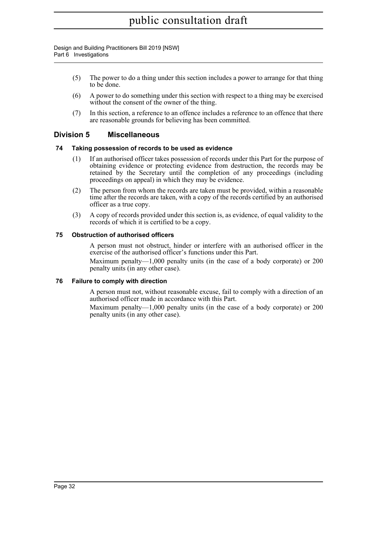Design and Building Practitioners Bill 2019 [NSW] Part 6 Investigations

- (5) The power to do a thing under this section includes a power to arrange for that thing to be done.
- (6) A power to do something under this section with respect to a thing may be exercised without the consent of the owner of the thing.
- (7) In this section, a reference to an offence includes a reference to an offence that there are reasonable grounds for believing has been committed.

### <span id="page-35-0"></span>**Division 5 Miscellaneous**

### <span id="page-35-1"></span>**74 Taking possession of records to be used as evidence**

- (1) If an authorised officer takes possession of records under this Part for the purpose of obtaining evidence or protecting evidence from destruction, the records may be retained by the Secretary until the completion of any proceedings (including proceedings on appeal) in which they may be evidence.
- (2) The person from whom the records are taken must be provided, within a reasonable time after the records are taken, with a copy of the records certified by an authorised officer as a true copy.
- (3) A copy of records provided under this section is, as evidence, of equal validity to the records of which it is certified to be a copy.

### <span id="page-35-2"></span>**75 Obstruction of authorised officers**

A person must not obstruct, hinder or interfere with an authorised officer in the exercise of the authorised officer's functions under this Part.

Maximum penalty—1,000 penalty units (in the case of a body corporate) or 200 penalty units (in any other case).

### <span id="page-35-3"></span>**76 Failure to comply with direction**

A person must not, without reasonable excuse, fail to comply with a direction of an authorised officer made in accordance with this Part.

Maximum penalty—1,000 penalty units (in the case of a body corporate) or 200 penalty units (in any other case).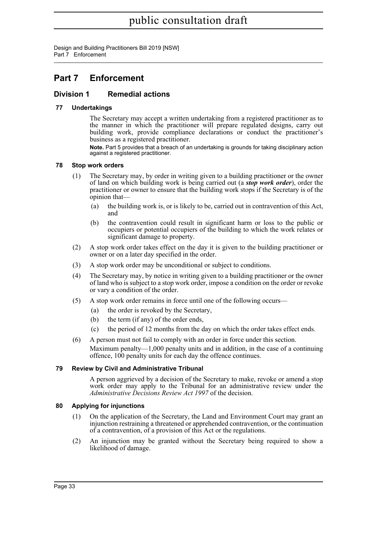Design and Building Practitioners Bill 2019 [NSW] Part 7 Enforcement

### <span id="page-36-0"></span>**Part 7 Enforcement**

### <span id="page-36-1"></span>**Division 1 Remedial actions**

### <span id="page-36-2"></span>**77 Undertakings**

The Secretary may accept a written undertaking from a registered practitioner as to the manner in which the practitioner will prepare regulated designs, carry out building work, provide compliance declarations or conduct the practitioner's business as a registered practitioner.

**Note.** Part 5 provides that a breach of an undertaking is grounds for taking disciplinary action against a registered practitioner.

### <span id="page-36-3"></span>**78 Stop work orders**

- (1) The Secretary may, by order in writing given to a building practitioner or the owner of land on which building work is being carried out (a *stop work order*), order the practitioner or owner to ensure that the building work stops if the Secretary is of the opinion that—
	- (a) the building work is, or is likely to be, carried out in contravention of this Act, and
	- (b) the contravention could result in significant harm or loss to the public or occupiers or potential occupiers of the building to which the work relates or significant damage to property.
- (2) A stop work order takes effect on the day it is given to the building practitioner or owner or on a later day specified in the order.
- (3) A stop work order may be unconditional or subject to conditions.
- (4) The Secretary may, by notice in writing given to a building practitioner or the owner of land who is subject to a stop work order, impose a condition on the order or revoke or vary a condition of the order.
- (5) A stop work order remains in force until one of the following occurs—
	- (a) the order is revoked by the Secretary,
	- (b) the term (if any) of the order ends,
	- (c) the period of 12 months from the day on which the order takes effect ends.
- (6) A person must not fail to comply with an order in force under this section. Maximum penalty—1,000 penalty units and in addition, in the case of a continuing offence, 100 penalty units for each day the offence continues.

### <span id="page-36-4"></span>**79 Review by Civil and Administrative Tribunal**

A person aggrieved by a decision of the Secretary to make, revoke or amend a stop work order may apply to the Tribunal for an administrative review under the *Administrative Decisions Review Act 1997* of the decision.

### <span id="page-36-5"></span>**80 Applying for injunctions**

- (1) On the application of the Secretary, the Land and Environment Court may grant an injunction restraining a threatened or apprehended contravention, or the continuation of a contravention, of a provision of this Act or the regulations.
- (2) An injunction may be granted without the Secretary being required to show a likelihood of damage.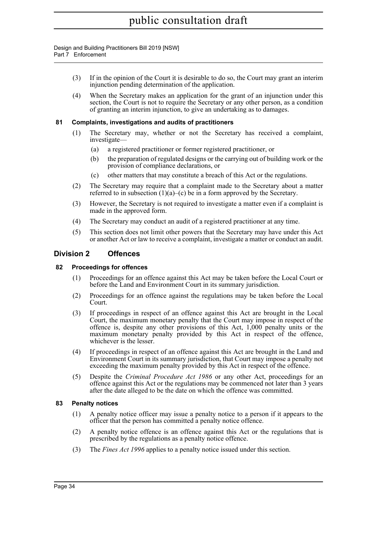#### Design and Building Practitioners Bill 2019 [NSW] Part 7 Enforcement

- (3) If in the opinion of the Court it is desirable to do so, the Court may grant an interim injunction pending determination of the application.
- (4) When the Secretary makes an application for the grant of an injunction under this section, the Court is not to require the Secretary or any other person, as a condition of granting an interim injunction, to give an undertaking as to damages.

### <span id="page-37-0"></span>**81 Complaints, investigations and audits of practitioners**

- (1) The Secretary may, whether or not the Secretary has received a complaint, investigate—
	- (a) a registered practitioner or former registered practitioner, or
	- (b) the preparation of regulated designs or the carrying out of building work or the provision of compliance declarations, or
	- (c) other matters that may constitute a breach of this Act or the regulations.
- (2) The Secretary may require that a complaint made to the Secretary about a matter referred to in subsection  $(1)(a)$ – $(c)$  be in a form approved by the Secretary.
- (3) However, the Secretary is not required to investigate a matter even if a complaint is made in the approved form.
- (4) The Secretary may conduct an audit of a registered practitioner at any time.
- (5) This section does not limit other powers that the Secretary may have under this Act or another Act or law to receive a complaint, investigate a matter or conduct an audit.

### <span id="page-37-1"></span>**Division 2 Offences**

#### <span id="page-37-2"></span>**82 Proceedings for offences**

- (1) Proceedings for an offence against this Act may be taken before the Local Court or before the Land and Environment Court in its summary jurisdiction.
- (2) Proceedings for an offence against the regulations may be taken before the Local Court.
- (3) If proceedings in respect of an offence against this Act are brought in the Local Court, the maximum monetary penalty that the Court may impose in respect of the offence is, despite any other provisions of this Act, 1,000 penalty units or the maximum monetary penalty provided by this Act in respect of the offence, whichever is the lesser.
- (4) If proceedings in respect of an offence against this Act are brought in the Land and Environment Court in its summary jurisdiction, that Court may impose a penalty not exceeding the maximum penalty provided by this Act in respect of the offence.
- (5) Despite the *Criminal Procedure Act 1986* or any other Act, proceedings for an offence against this Act or the regulations may be commenced not later than 3 years after the date alleged to be the date on which the offence was committed.

### <span id="page-37-3"></span>**83 Penalty notices**

- (1) A penalty notice officer may issue a penalty notice to a person if it appears to the officer that the person has committed a penalty notice offence.
- (2) A penalty notice offence is an offence against this Act or the regulations that is prescribed by the regulations as a penalty notice offence.
- (3) The *Fines Act 1996* applies to a penalty notice issued under this section.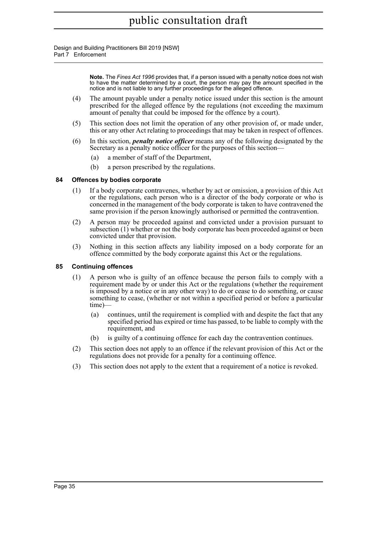Design and Building Practitioners Bill 2019 [NSW] Part 7 Enforcement

> **Note.** The *Fines Act 1996* provides that, if a person issued with a penalty notice does not wish to have the matter determined by a court, the person may pay the amount specified in the notice and is not liable to any further proceedings for the alleged offence.

- (4) The amount payable under a penalty notice issued under this section is the amount prescribed for the alleged offence by the regulations (not exceeding the maximum amount of penalty that could be imposed for the offence by a court).
- (5) This section does not limit the operation of any other provision of, or made under, this or any other Act relating to proceedings that may be taken in respect of offences.
- (6) In this section, *penalty notice officer* means any of the following designated by the Secretary as a penalty notice officer for the purposes of this section—
	- (a) a member of staff of the Department,
	- (b) a person prescribed by the regulations.

#### <span id="page-38-0"></span>**84 Offences by bodies corporate**

- (1) If a body corporate contravenes, whether by act or omission, a provision of this Act or the regulations, each person who is a director of the body corporate or who is concerned in the management of the body corporate is taken to have contravened the same provision if the person knowingly authorised or permitted the contravention.
- (2) A person may be proceeded against and convicted under a provision pursuant to subsection (1) whether or not the body corporate has been proceeded against or been convicted under that provision.
- (3) Nothing in this section affects any liability imposed on a body corporate for an offence committed by the body corporate against this Act or the regulations.

#### <span id="page-38-1"></span>**85 Continuing offences**

- (1) A person who is guilty of an offence because the person fails to comply with a requirement made by or under this Act or the regulations (whether the requirement is imposed by a notice or in any other way) to do or cease to do something, or cause something to cease, (whether or not within a specified period or before a particular time)—
	- (a) continues, until the requirement is complied with and despite the fact that any specified period has expired or time has passed, to be liable to comply with the requirement, and
	- (b) is guilty of a continuing offence for each day the contravention continues.
- (2) This section does not apply to an offence if the relevant provision of this Act or the regulations does not provide for a penalty for a continuing offence.
- (3) This section does not apply to the extent that a requirement of a notice is revoked.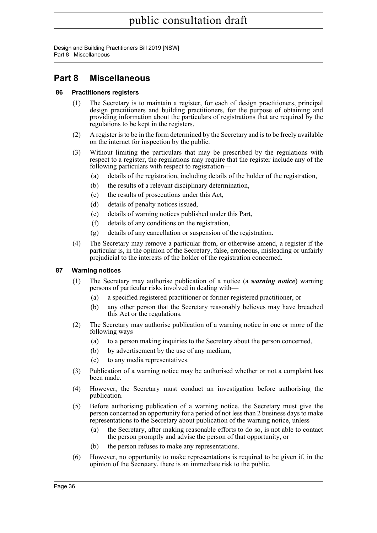Design and Building Practitioners Bill 2019 [NSW] Part 8 Miscellaneous

### <span id="page-39-0"></span>**Part 8 Miscellaneous**

### <span id="page-39-1"></span>**86 Practitioners registers**

- (1) The Secretary is to maintain a register, for each of design practitioners, principal design practitioners and building practitioners, for the purpose of obtaining and providing information about the particulars of registrations that are required by the regulations to be kept in the registers.
- (2) A register is to be in the form determined by the Secretary and is to be freely available on the internet for inspection by the public.
- (3) Without limiting the particulars that may be prescribed by the regulations with respect to a register, the regulations may require that the register include any of the following particulars with respect to registration—
	- (a) details of the registration, including details of the holder of the registration,
	- (b) the results of a relevant disciplinary determination,
	- (c) the results of prosecutions under this Act,
	- (d) details of penalty notices issued,
	- (e) details of warning notices published under this Part,
	- (f) details of any conditions on the registration,
	- (g) details of any cancellation or suspension of the registration.
- (4) The Secretary may remove a particular from, or otherwise amend, a register if the particular is, in the opinion of the Secretary, false, erroneous, misleading or unfairly prejudicial to the interests of the holder of the registration concerned.

### <span id="page-39-2"></span>**87 Warning notices**

- (1) The Secretary may authorise publication of a notice (a *warning notice*) warning persons of particular risks involved in dealing with—
	- (a) a specified registered practitioner or former registered practitioner, or
	- (b) any other person that the Secretary reasonably believes may have breached this Act or the regulations.
- (2) The Secretary may authorise publication of a warning notice in one or more of the following ways—
	- (a) to a person making inquiries to the Secretary about the person concerned,
	- (b) by advertisement by the use of any medium,
	- (c) to any media representatives.
- (3) Publication of a warning notice may be authorised whether or not a complaint has been made.
- (4) However, the Secretary must conduct an investigation before authorising the publication.
- (5) Before authorising publication of a warning notice, the Secretary must give the person concerned an opportunity for a period of not less than 2 business days to make representations to the Secretary about publication of the warning notice, unless—
	- (a) the Secretary, after making reasonable efforts to do so, is not able to contact the person promptly and advise the person of that opportunity, or
	- (b) the person refuses to make any representations.
- (6) However, no opportunity to make representations is required to be given if, in the opinion of the Secretary, there is an immediate risk to the public.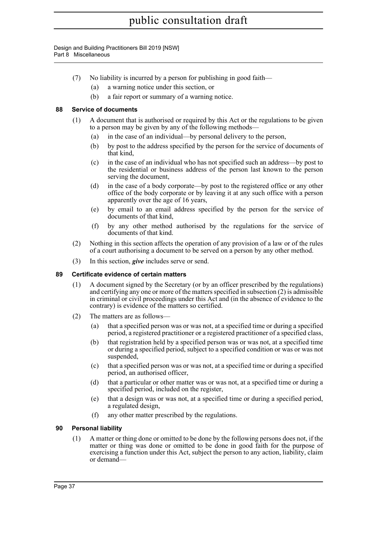Design and Building Practitioners Bill 2019 [NSW] Part 8 Miscellaneous

- (7) No liability is incurred by a person for publishing in good faith—
	- (a) a warning notice under this section, or
	- (b) a fair report or summary of a warning notice.

### <span id="page-40-0"></span>**88 Service of documents**

- (1) A document that is authorised or required by this Act or the regulations to be given to a person may be given by any of the following methods—
	- (a) in the case of an individual—by personal delivery to the person,
	- (b) by post to the address specified by the person for the service of documents of that kind,
	- (c) in the case of an individual who has not specified such an address—by post to the residential or business address of the person last known to the person serving the document,
	- (d) in the case of a body corporate—by post to the registered office or any other office of the body corporate or by leaving it at any such office with a person apparently over the age of 16 years,
	- (e) by email to an email address specified by the person for the service of documents of that kind,
	- (f) by any other method authorised by the regulations for the service of documents of that kind.
- (2) Nothing in this section affects the operation of any provision of a law or of the rules of a court authorising a document to be served on a person by any other method.
- (3) In this section, *give* includes serve or send.

### <span id="page-40-1"></span>**89 Certificate evidence of certain matters**

- (1) A document signed by the Secretary (or by an officer prescribed by the regulations) and certifying any one or more of the matters specified in subsection (2) is admissible in criminal or civil proceedings under this Act and (in the absence of evidence to the contrary) is evidence of the matters so certified.
- (2) The matters are as follows—
	- (a) that a specified person was or was not, at a specified time or during a specified period, a registered practitioner or a registered practitioner of a specified class,
	- (b) that registration held by a specified person was or was not, at a specified time or during a specified period, subject to a specified condition or was or was not suspended,
	- (c) that a specified person was or was not, at a specified time or during a specified period, an authorised officer,
	- (d) that a particular or other matter was or was not, at a specified time or during a specified period, included on the register,
	- (e) that a design was or was not, at a specified time or during a specified period, a regulated design,
	- (f) any other matter prescribed by the regulations.

### <span id="page-40-2"></span>**90 Personal liability**

(1) A matter or thing done or omitted to be done by the following persons does not, if the matter or thing was done or omitted to be done in good faith for the purpose of exercising a function under this Act, subject the person to any action, liability, claim or demand—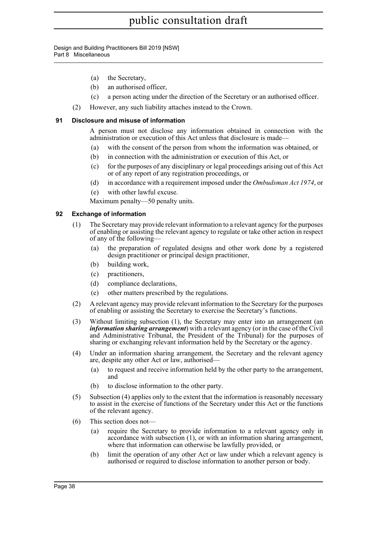Design and Building Practitioners Bill 2019 [NSW] Part 8 Miscellaneous

- (a) the Secretary,
- (b) an authorised officer,
- (c) a person acting under the direction of the Secretary or an authorised officer.
- (2) However, any such liability attaches instead to the Crown.

#### <span id="page-41-0"></span>**91 Disclosure and misuse of information**

A person must not disclose any information obtained in connection with the administration or execution of this Act unless that disclosure is made—

- (a) with the consent of the person from whom the information was obtained, or
- (b) in connection with the administration or execution of this Act, or
- (c) for the purposes of any disciplinary or legal proceedings arising out of this Act or of any report of any registration proceedings, or
- (d) in accordance with a requirement imposed under the *Ombudsman Act 1974*, or
- (e) with other lawful excuse.

Maximum penalty—50 penalty units.

#### <span id="page-41-1"></span>**92 Exchange of information**

- (1) The Secretary may provide relevant information to a relevant agency for the purposes of enabling or assisting the relevant agency to regulate or take other action in respect of any of the following—
	- (a) the preparation of regulated designs and other work done by a registered design practitioner or principal design practitioner,
	- (b) building work,
	- (c) practitioners,
	- (d) compliance declarations,
	- (e) other matters prescribed by the regulations.
- (2) A relevant agency may provide relevant information to the Secretary for the purposes of enabling or assisting the Secretary to exercise the Secretary's functions.
- (3) Without limiting subsection (1), the Secretary may enter into an arrangement (an *information sharing arrangement*) with a relevant agency (or in the case of the Civil and Administrative Tribunal, the President of the Tribunal) for the purposes of sharing or exchanging relevant information held by the Secretary or the agency.
- (4) Under an information sharing arrangement, the Secretary and the relevant agency are, despite any other Act or law, authorised—
	- (a) to request and receive information held by the other party to the arrangement, and
	- (b) to disclose information to the other party.
- (5) Subsection (4) applies only to the extent that the information is reasonably necessary to assist in the exercise of functions of the Secretary under this Act or the functions of the relevant agency.
- (6) This section does not—
	- (a) require the Secretary to provide information to a relevant agency only in accordance with subsection (1), or with an information sharing arrangement, where that information can otherwise be lawfully provided, or
	- (b) limit the operation of any other Act or law under which a relevant agency is authorised or required to disclose information to another person or body.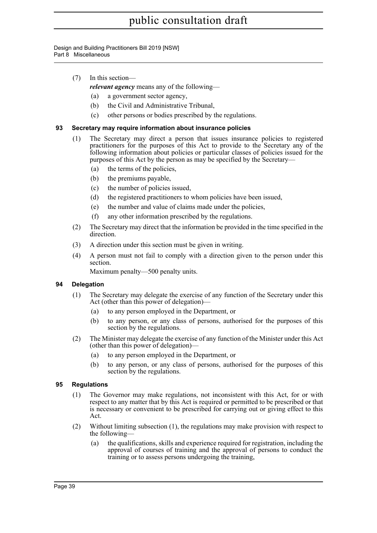Design and Building Practitioners Bill 2019 [NSW] Part 8 Miscellaneous

(7) In this section—

*relevant agency* means any of the following—

- (a) a government sector agency,
- (b) the Civil and Administrative Tribunal,
- (c) other persons or bodies prescribed by the regulations.

### <span id="page-42-0"></span>**93 Secretary may require information about insurance policies**

- (1) The Secretary may direct a person that issues insurance policies to registered practitioners for the purposes of this Act to provide to the Secretary any of the following information about policies or particular classes of policies issued for the purposes of this Act by the person as may be specified by the Secretary—
	- (a) the terms of the policies,
	- (b) the premiums payable,
	- (c) the number of policies issued,
	- (d) the registered practitioners to whom policies have been issued,
	- (e) the number and value of claims made under the policies,
	- (f) any other information prescribed by the regulations.
- (2) The Secretary may direct that the information be provided in the time specified in the direction.
- (3) A direction under this section must be given in writing.
- (4) A person must not fail to comply with a direction given to the person under this section.

Maximum penalty—500 penalty units.

### <span id="page-42-1"></span>**94 Delegation**

- (1) The Secretary may delegate the exercise of any function of the Secretary under this Act (other than this power of delegation)—
	- (a) to any person employed in the Department, or
	- (b) to any person, or any class of persons, authorised for the purposes of this section by the regulations.
- (2) The Minister may delegate the exercise of any function of the Minister under this Act (other than this power of delegation)—
	- (a) to any person employed in the Department, or
	- (b) to any person, or any class of persons, authorised for the purposes of this section by the regulations.

### <span id="page-42-2"></span>**95 Regulations**

- (1) The Governor may make regulations, not inconsistent with this Act, for or with respect to any matter that by this Act is required or permitted to be prescribed or that is necessary or convenient to be prescribed for carrying out or giving effect to this Act.
- (2) Without limiting subsection (1), the regulations may make provision with respect to the following—
	- (a) the qualifications, skills and experience required for registration, including the approval of courses of training and the approval of persons to conduct the training or to assess persons undergoing the training,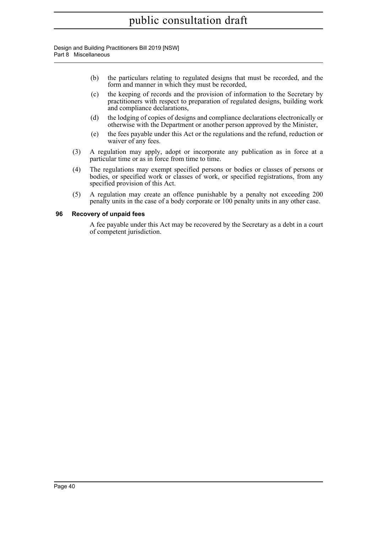Design and Building Practitioners Bill 2019 [NSW] Part 8 Miscellaneous

- (b) the particulars relating to regulated designs that must be recorded, and the form and manner in which they must be recorded,
- (c) the keeping of records and the provision of information to the Secretary by practitioners with respect to preparation of regulated designs, building work and compliance declarations,
- (d) the lodging of copies of designs and compliance declarations electronically or otherwise with the Department or another person approved by the Minister,
- (e) the fees payable under this Act or the regulations and the refund, reduction or waiver of any fees.
- (3) A regulation may apply, adopt or incorporate any publication as in force at a particular time or as in force from time to time.
- (4) The regulations may exempt specified persons or bodies or classes of persons or bodies, or specified work or classes of work, or specified registrations, from any specified provision of this Act.
- (5) A regulation may create an offence punishable by a penalty not exceeding 200 penalty units in the case of a body corporate or 100 penalty units in any other case.

### <span id="page-43-0"></span>**96 Recovery of unpaid fees**

A fee payable under this Act may be recovered by the Secretary as a debt in a court of competent jurisdiction.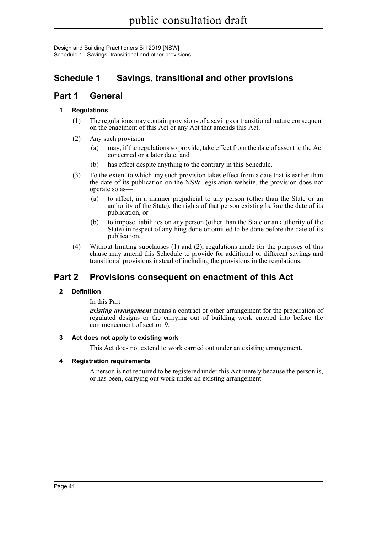Design and Building Practitioners Bill 2019 [NSW] Schedule 1 Savings, transitional and other provisions

### <span id="page-44-0"></span>**Schedule 1 Savings, transitional and other provisions**

### **Part 1 General**

### **1 Regulations**

- (1) The regulations may contain provisions of a savings or transitional nature consequent on the enactment of this Act or any Act that amends this Act.
- (2) Any such provision—
	- (a) may, if the regulations so provide, take effect from the date of assent to the Act concerned or a later date, and
	- (b) has effect despite anything to the contrary in this Schedule.
- (3) To the extent to which any such provision takes effect from a date that is earlier than the date of its publication on the NSW legislation website, the provision does not operate so as—
	- (a) to affect, in a manner prejudicial to any person (other than the State or an authority of the State), the rights of that person existing before the date of its publication, or
	- (b) to impose liabilities on any person (other than the State or an authority of the State) in respect of anything done or omitted to be done before the date of its publication.
- (4) Without limiting subclauses (1) and (2), regulations made for the purposes of this clause may amend this Schedule to provide for additional or different savings and transitional provisions instead of including the provisions in the regulations.

### **Part 2 Provisions consequent on enactment of this Act**

### **2 Definition**

In this Part—

*existing arrangement* means a contract or other arrangement for the preparation of regulated designs or the carrying out of building work entered into before the commencement of section 9.

### **3 Act does not apply to existing work**

This Act does not extend to work carried out under an existing arrangement.

### **4 Registration requirements**

A person is not required to be registered under this Act merely because the person is, or has been, carrying out work under an existing arrangement.